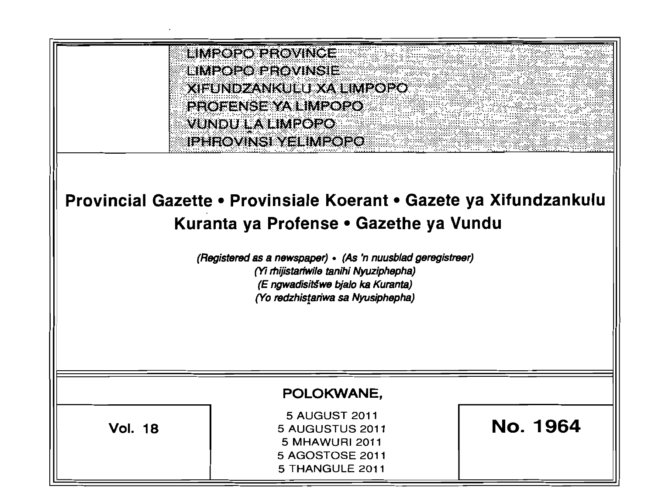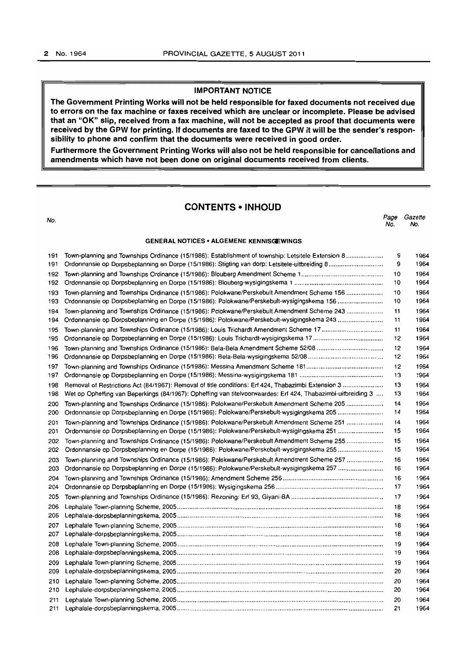#### IMPORTANT NOTICE

The Government Printing Works will not be held responsible for faxed documents not received due to errors on the fax machine or faxes received which are unclear or incomplete. Please be advised that an "OK" slip, received from a fax machine, will not be accepted as proof that documents were received by the GPW for printing. If documents are faxed to the GPW it will be the sender's responsibility to phone and confirm that the documents were received in good order.

Furthermore the Government Printing Works will also not be held responsible for cancellations and amendments which have not been done on original documents received from clients.

#### CONTENTS • INHOUD

No. Page Gazeffe No. No. GENERAL NOTICES· ALGEMENE KENNISGEWINGS 191 Town-planning and Townships Ordinance (15/1986): Establishment of township: Letsitele Extension 8 .................... . 9 1964 191 Ordonnansie op Dorpsbeplanning en Dorpe (1511986): Stigting van dorp: Letsitele-uilbreiding 8 ............................. .. 9 1964 192 Town-planning and Townships Ordinance (15/1986): Blouberg Amendment Scheme 1 .............................................. . 10 1964 192 Ordonnansie op Dorpsbeplanning en Dorpe (15/1986): Blouberg·wysigingskema 1 ................................................. .. 10 1964 193 Town-planning and Townships Ordinance (15/1986): Polokwane/Perskebult Amendment Scheme 156 .................... . 10 1964 193 Ordonnansie op Dorpsbeplanning en Dorpe (15/1986): Polokwane/Perskebult-wysigingskema 156 ........................ .. 10 1964 194 Town-planning and Townships Ordinance (15/1986): Polokwane/Perskebult Amendment Scheme 243 ................... .. 11 1964 194 Ordonnansie op Dorpsbeplanning en Dorpe (15/1986): Polokwane/Perskebult-wysigingskema 243 ......................... . 11 1964 195 Town-planning and Townships Ordinance (15/1986): Louis Trichardt Amendment Scheme 17 ................................. .. 11 1964 195 Ordonnansie op Dorpsbeplanning en Dorpe (15/1986): Louis Trichardt-wysigingskema 17 ....................................... . 12 1964 196 Town-planning and Townships Ordinance (15/1986): Bela-Bela Amendment Scheme 52108 .................................... .. 12 1964 196 Ordonnansie op Dorpsbeplanning en Dorpe (15/1986): Bela-Bela-wysigingskema 52108 ......................................... .. 12 1964 197 Town-planning and Townships Ordinance (15/1986): Messina Amendment Scheme 181 .......................................... .. 12 1964 197 Ordonnansie op Dorpsbeplanning en Dorpe (15/1986): Messina-wysigingskema 181 .............................................. .. 13 1964 198 Removal of Restrictions Act (84/1967): Removal of title conditions: Erf 424, Thabazimbi Extension 3 ..................... .. 13 1964 198 Wet op Opheffing van Beperkings (84/1967): Opheffing van titelvoorwaardes: Erf 424, Thabazimbi-uitbreiding 3 .... 13 1964 200 Town-planning and Townships Ordinance (15/1986): Polokwane/Perskebult Amendment Scheme 205 ................... .. 14 1964 200 Ordonnansie op Dorpsbeplanning en Darpe (15/1986): Polokwane/Perskebult-wysigingskema 205 ........................ .. 14 1964 201 Town-planning and Townships Ordinance (15/1986): Polokwane/Perskebult Amendment Scheme 251 .................... . 14 1964 201 Ordonnansie op Dorpsbeplanning en Dorpe (15/1986): Polokwane/Perskebult-wysigingskema 251 ......................... . 15 1964 202 Town-planning and Townships Ordinance (15/1986): Polokwane/PerskebultAmendment Scheme 255 ................... .. 15 1964 202 Ordonnansie op Dorpsbeplanning en Dorpe (15/1986): PolokwanefPerskeb~lt-wysigingskema 255 ........................ .. 15 1964 203 Town-planning and Townships Ordinance (15/1986): Polokwane/PerskebultAmendment Scheme 257 ................... .. 16 1964 203 Ordonnansie op Dorpsbeplanning en Dorpe (15/1986): Polokwane/Perskebult-wysigingskema 257 ........................ .. 16 1964 204 Town-planning and Townships Ordinance (15/1986): Amendment Scheme 256 ........................................................ .. 16 1964 204 Ordonnansie op Dorpsbeplanning en Dorpe (15/1986): Wysigingskema 256 ............................................................ .. 17 1964 205 Town-planning and Townships Ordinance (15/1986): Rezoning: Erf 93, Giyani-BA .................................................... . 17 1964 206 Lephalale Town-planning Scheme, 2005 ...................................................................................................................... . 18 1964 206 Lephalale-dorpsbeplanningskema, 2005 ...................................................................................................................... . 18 1964 207 Lephalale Town-planning Scheme, 2005 ...................................................................................................................... . 18 1964 207 Lephalale-dorpsbeplanningskema, 2005 ...................................................................................................................... . 18 1964 208 Lephalale Town-planning Scheme, 2005 ...................................................................................................................... . 19 1964 208 Lephalale-dorpsbeplanningskema, 2005 ...................................................................................................................... . 19 1964 209 Lephalale Town-planning Scheme, 2005 ...................................................................................................................... . 19 1964 209 Lephalale-dorpsbeplanningskema, 2005 ..................................................................................................................... .. 20 1964 210 Lephalale Town-planning Scheme, 2005 ...................................................................................................................... . 20 1964 210 Lephalale-dorpsbeplanningskema, 2005 ...................................................................................................................... . 20 1964 211 Lephalale Town-planning Scheme, 2005 ...................................................................................................................... . 20 1964

211 Lephalale-dorpsbeplanningskema, 2005 ...................................................................................................................... . 21 1964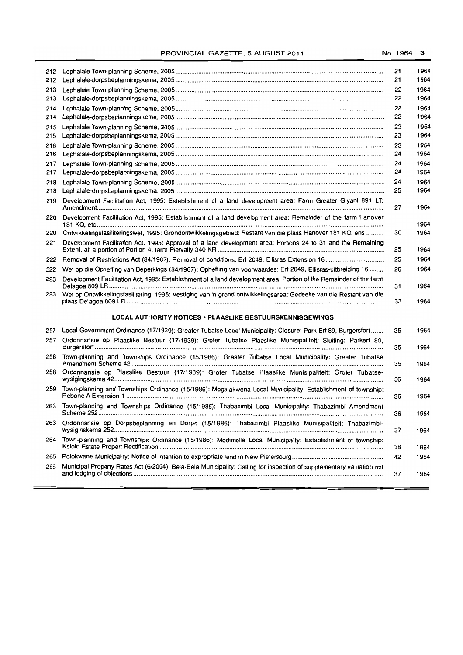# PROVINCIAL GAZETTE, 5 AUGUST 2011 No. 1964 3

| 212        |                                                                                                                       | 21       | 1964         |
|------------|-----------------------------------------------------------------------------------------------------------------------|----------|--------------|
| 212        |                                                                                                                       | 21       | 1964         |
| 213        |                                                                                                                       | 22       | 1964         |
| 213        |                                                                                                                       | 22       | 1964         |
| 214        |                                                                                                                       | 22       | 1964         |
| 214        |                                                                                                                       | 22       | 1964         |
| 215        |                                                                                                                       | 23       | 1964         |
| 215        |                                                                                                                       | 23       | 1964         |
| 216<br>216 |                                                                                                                       | 23       | 1964         |
|            |                                                                                                                       | 24       | 1964         |
| 217<br>217 |                                                                                                                       | 24<br>24 | 1964<br>1964 |
| 218        |                                                                                                                       | 24       | 1964         |
| 218        |                                                                                                                       | 25       | 1964         |
| 219        | Development Facilitation Act, 1995: Establishment of a land development area: Farm Greater Giyani 891 LT:             |          |              |
|            |                                                                                                                       | 27       | 1964         |
| 220        | Development Facilitation Act, 1995: Establishment of a land development area: Remainder of the farm Hanover           |          | 1964         |
| 220        | Ontwikkelingsfasiliteringswet, 1995: Grondontwikkelingsgebied: Restant van die plaas Hanover 181 KQ, ens              | 30       | 1964         |
| 221        | Development Facilitation Act, 1995: Approval of a land development area: Portions 24 to 31 and the Remaining          | 25       | 1964         |
| 222        |                                                                                                                       | 25       | 1964         |
| 222        | Wet op die Opheffing van Beperkings (84/1967): Opheffing van voorwaardes: Erf 2049, Ellisras-uitbreiding 16           | 26       | 1964         |
| 223        | Development Facilitation Act, 1995: Establishment of a land development area: Portion of the Remainder of the farm    | 31       | 1964         |
| 223        | Wet op Ontwikkelingsfasilitering, 1995: Vestiging van 'n grond-ontwikkelingsarea: Gedeelte van die Restant van die    | 33       | 1964         |
|            | LOCAL AUTHORITY NOTICES . PLAASLIKE BESTUURSKENNISGEWINGS                                                             |          |              |
| 257        | Local Government Ordinance (17/1939): Greater Tubatse Local Municipality: Closure: Park Erf 89, Burgersfort           | 35       | 1964         |
| 257        | Ordonnansie op Plaaslike Bestuur (17/1939): Groter Tubatse Plaaslike Munisipaliteit: Sluiting: Parkert 89,            | 35       | 1964         |
| 258        | Town-planning and Townships Ordinance (15/1986): Greater Tubatse Local Municipality: Greater Tubatse                  | 35       | 1964         |
| 258        | Ordonnansie op Plaaslike Bestuur (17/1939): Groter Tubatse Plaaslike Munisipaliteit: Groter Tubatse-                  | 36       | 1964         |
| 259        | Town-planning and Townships Ordinance (15/1986): Mogalakwena Local Municipality: Establishment of township:           | 36       | 1964         |
|            | 263 Town-planning and Townships Ordinance (15/1986): Thabazimbi Local Municipality: Thabazimbi Amendment              | 36       | 1964         |
| 263        | Ordonnansie op Dorpsbeplanning en Dorpe (15/1986): Thabazimbi Plaaslike Munisipaliteit: Thabazimbi-                   | 37       | 1964         |
| 264        | Town-planning and Townships Ordinance (15/1986): Modimolle Local Municipality: Establishment of township:             | 38       | 1964         |
| 265        |                                                                                                                       | 42       | 1964         |
| 266        | Municipal Property Rates Act (6/2004): Bela-Bela Municipality: Calling for inspection of supplementary valuation roll | 37       | 1964         |
|            |                                                                                                                       |          |              |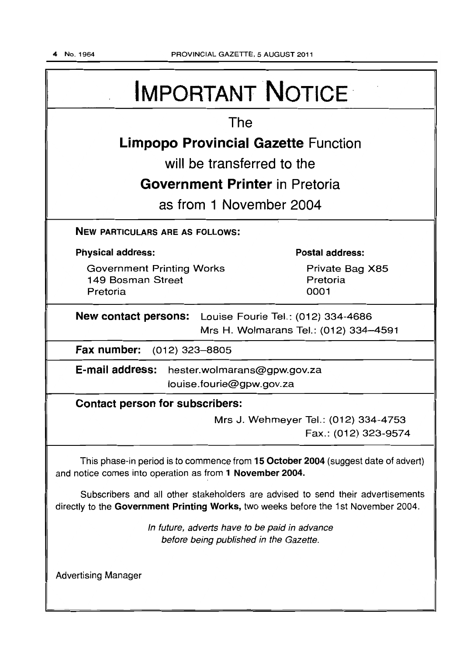# IMPORTANT NOTICE

# The

# **Limpopo Provincial Gazette** Function

will be transferred to the

# **Government Printer** in Pretoria

as from 1 November 2004

NEW PARTICULARS ARE AS FOLLOWS:

Physical address:

Government Printing Works 149 Bosman Street Pretoria

Postal address:

Private Bag X85 Pretoria 0001

New contact persons: Louise Fourie Tel.: (012) 334-4686 Mrs H. Wolmarans Tel.: (012) 334-4591

Fax number: (012) 323-8805

E-mail address: hester.wolmarans@gpw.gov.za louise. fourie@gpw.gov.za

# Contact person for subscribers:

Mrs J. Wehmeyer Tel.: (012) 334-4753 Fax.: (012) 323-9574

This phase-in period is to commence from 15 October 2004 (suggest date of advert) and notice comes into operation as from 1 November 2004.

Subscribers and all other stakeholders are advised to send their advertisements directly to the Government Printing Works, two weeks before the 1st November 2004.

> In future, adverts have to be paid in advance before being published in the Gazette.

Advertising Manager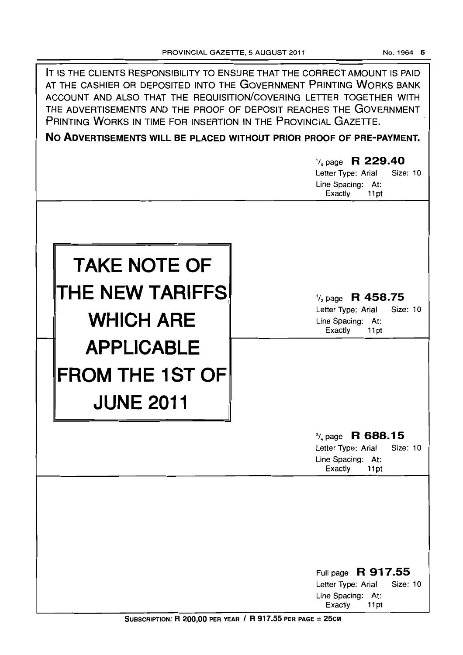| IT IS THE CLIENTS RESPONSIBILITY TO ENSURE THAT THE CORRECT AMOUNT IS PAID<br>AT THE CASHIER OR DEPOSITED INTO THE GOVERNMENT PRINTING WORKS BANK<br>ACCOUNT AND ALSO THAT THE REQUISITION/COVERING LETTER TOGETHER WITH<br>THE ADVERTISEMENTS AND THE PROOF OF DEPOSIT REACHES THE GOVERNMENT<br>PRINTING WORKS IN TIME FOR INSERTION IN THE PROVINCIAL GAZETTE.<br>NO ADVERTISEMENTS WILL BE PLACED WITHOUT PRIOR PROOF OF PRE-PAYMENT. |                                                                                                       |  |  |  |  |
|-------------------------------------------------------------------------------------------------------------------------------------------------------------------------------------------------------------------------------------------------------------------------------------------------------------------------------------------------------------------------------------------------------------------------------------------|-------------------------------------------------------------------------------------------------------|--|--|--|--|
|                                                                                                                                                                                                                                                                                                                                                                                                                                           | $\frac{1}{4}$ page R 229.40<br>Letter Type: Arial<br>Size: 10<br>Line Spacing: At:<br>Exactly<br>11pt |  |  |  |  |
| <b>TAKE NOTE OF</b><br>THE NEW TARIFFS<br><b>WHICH ARE</b>                                                                                                                                                                                                                                                                                                                                                                                | $\frac{1}{2}$ page R 458.75<br>Size: 10<br>Letter Type: Arial<br>Line Spacing: At:<br>Exactly<br>11pt |  |  |  |  |
| <b>APPLICABLE</b><br><b>FROM THE 1ST OF</b><br><b>JUNE 2011</b>                                                                                                                                                                                                                                                                                                                                                                           | R 688.15<br>$\frac{3}{4}$ page                                                                        |  |  |  |  |
|                                                                                                                                                                                                                                                                                                                                                                                                                                           | Size: 10<br>Letter Type: Arial<br>Line Spacing: At:<br>Exactly<br>11pt                                |  |  |  |  |
|                                                                                                                                                                                                                                                                                                                                                                                                                                           |                                                                                                       |  |  |  |  |
|                                                                                                                                                                                                                                                                                                                                                                                                                                           | Full page R 917.55<br>Letter Type: Arial<br>Size: 10<br>Line Spacing: At:<br>Exactly<br>11pt          |  |  |  |  |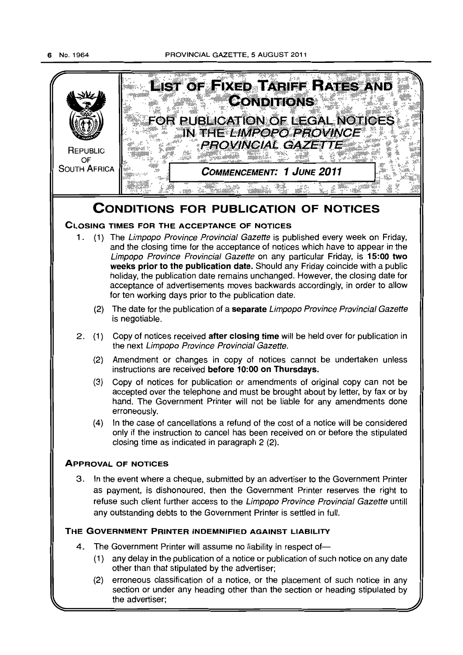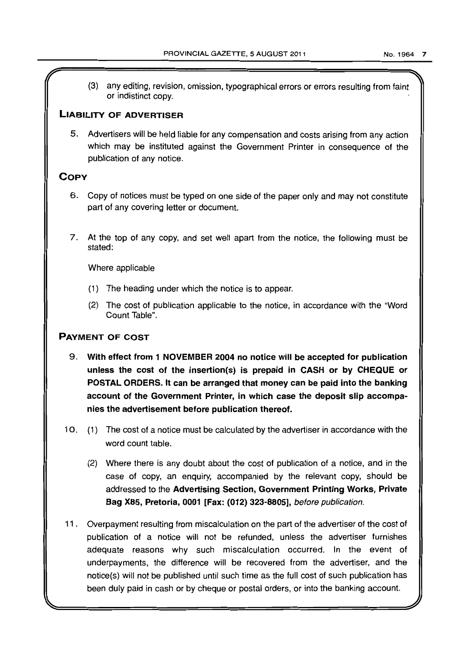(3) any editing, revision, omission, typographical errors or errors resulting from faint or indistinct copy.

# **LIABILITY OF ADVERTISER**

5. Advertisers will be held liable for any compensation and costs arising from any action which may be instituted against the Government Printer in consequence of the publication of any notice.

# **COPY**

- 6. Copy of notices must be typed on one side of the paper only and may not constitute part of any covering letter or document.
- 7. At the top of any copy, and set well apart from the notice, the following must be stated:

Where applicable

- (1) The heading under which the notice is to appear.
- (2) The cost of publication applicable to the notice, in accordance with the "Word Count Table".

# PAYMENT OF COST

- 9. With effect from 1 NOVEMBER 2004 no notice will be accepted for publication unless the cost of the insertion(s) is prepaid in CASH or by CHEQUE or POSTAL ORDERS. It can be arranged that money can be paid into the banking account of the Government Printer, in which case the deposit slip accompanies the advertisement before publication thereof.
- 10. (1) The cost of a notice must be calculated by the advertiser in accordance with the word count table.
	- (2) Where there is any doubt about the cost of publication of a notice, and in the case of copy, an enquiry, accompanied by the relevant copy, should be addressed to the Advertising Section, Government Printing Works, Private Bag X85, Pretoria, 0001 [Fax: (012) 323-8805], before publication.
- 11. Overpayment resulting from miscalculation on the part of the advertiser of the cost of publication of a notice will not be refunded, unless the advertiser furnishes adequate reasons why such miscalculation occurred. In the event of underpayments, the difference will be recovered from the advertiser, and the notice(s) will not be published until such time as the full cost of such publication has been duly paid in cash or by cheque or postal orders, or into the banking account.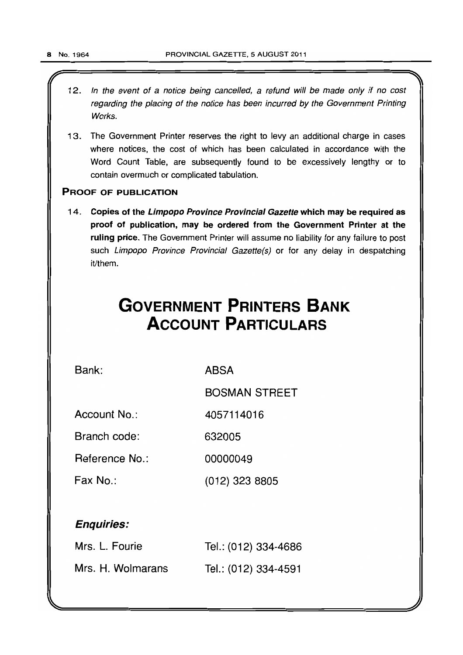- $\overbrace{\hspace{25mm}}$ 12. In the event of a notice being cancelled, a refund will be made only if no cost regarding the placing of the notice has been incurred by the Government Printing Works.
	- 13. The Government Printer reserves the right to levy an additional charge in cases where notices, the cost of which has been calculated in accordance with the Word Count Table, are subsequently found to be excessively lengthy or to contain overmuch or complicated tabulation.

# PROOF OF PUBLICATION

14. Copies of the Limpopo Province Provincial Gazette which may be required as proof of publication, may be ordered from the Government Printer at the ruling price. The Government Printer will assume no liability for any failure to post such Limpopo Province Provincial Gazette(s) or for any delay in despatching it/them.

# **GOVERNMENT PRINTERS BANK ACCOUNT PARTICULARS**

Bank:

ABSA

BOSMAN STREET

Account No.: 4057114016

Branch code: 632005

Reference No.: 00000049

Fax No.: (012) 323 8805

# Enquiries:

| Mrs. L. Fourie    | Tel.: (012) 334-4686 |
|-------------------|----------------------|
| Mrs. H. Wolmarans | Tel.: (012) 334-4591 |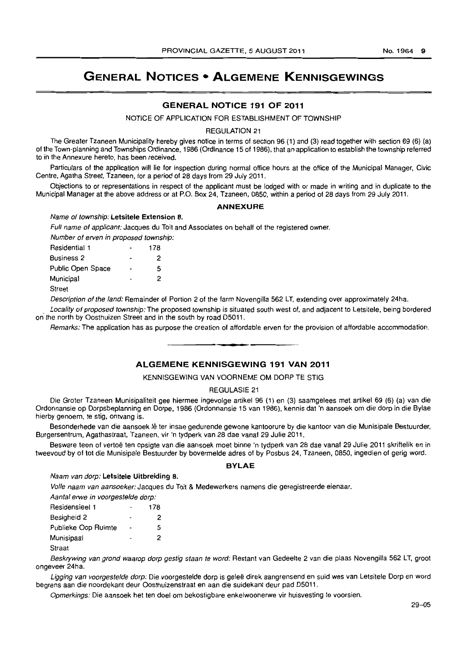# GENERAL NOTICES • ALGEMENE KENNISGEWINGS

# GENERAL NOTICE 191 OF 2011

NOTICE OF APPLICATION FOR ESTABLISHMENT OF TOWNSHIP

#### REGULATION 21

The Greater Tzaneen Municipality hereby gives notice in terms of section 96 (1) and (3) read together with section 69 (6) (a) of the Town-planning and Townships Ordinance, 1986 (Ordinance 15 of 1986). that an application to establish the township referred to in the Annexure hereto, has been received.

Particulars of the application will lie for inspection during normal office hours at the office of the Municipal Manager, Civic Centre, Agatha Street, Tzaneen, for a period of 28 days from 29 July 2011.

Objections to or representations in respect of the applicant must be lodged with or made in writing and in duplicate to the Municipal Manager at the above address or at P.O. Box 24, Tzaneen, 0850, within a period of 28 days from 29 July 2011.

#### ANNEXURE

# Name of township: Letsitele Extension 8.

Full name of applicant: Jacques du Toit and Associates on behalf of the registered owner.

Number of erven in proposed township:

| Residential 1     | 178 |
|-------------------|-----|
| <b>Business 2</b> | 2   |
| Public Open Space | 5   |
| Municipal         | 2   |
| <b>Street</b>     |     |

Description of the land: Remainder of Portion 2 of the farm Novengilla 562 LT, extending over approximately 24ha.

. Locality of proposed township: The proposed township is situated south west of, and adjacent to Letsitele, being bordered on the north by Oosthuizen Street and in the south by road D5011.

Remarks: The application has as purpose the creation of affordable erven for the provision of affordable accommodation.

. **- .** 

#### ALGEMENE KENNISGEWING 191 VAN 2011

#### KENNISGEWING VAN VOORNEME OM DORP TE STIG

#### REGULASIE 21

Die Groter Tzaneen Munisipaliteit gee hiermee ingevolge artikel 96 (1) en (3) saamgelees met arlikel 69 (6) (a) van die Ordonnansie op Dorpsbeplanning en Dorpe, 1986 (Ordonnansie 15 van 1986), kennis dat 'n aansoek om die dorp in die Bylae hierby genoem, te stig, ontvang is.

Besonderhede van die aansoek lê ter insae gedurende gewone kantoorure by die kantoor van die Munisipale Bestuurder, Burgersentrum, Agathastraat, Tzaneen, vir 'n tydperk van 28 dae vanaf 29 Julie 2011.

Besware teen of vertoë ten opsigte van die aansoek moet binne 'n tydperk van 28 dae vanaf 29 Julie 2011 skriftelik en in tweevoud by of tot die Munisipale Bestuurder by bovermelde adres of by Posbus 24, Tzaneen, 0850, ingedien of gerig word.

#### BYLAE

#### Naam van dorp: Letsitele Uitbreiding 8.

Volle naam van aansoeker: Jacques du Toit & Medewerkers namens die geregistreerde eienaar.

|  |   |  | Aantal erwe in voorgestelde dorp: |  |
|--|---|--|-----------------------------------|--|
|  | - |  |                                   |  |

| Residensieel 1      | 178 |
|---------------------|-----|
| Besigheid 2         | 2   |
| Publieke Oop Ruimte | 5   |
| Munisipaal          | 2   |
|                     |     |

Straat

Beskrywing van grond waarop dorp gestig staan te word: Restant van Gedeelte 2 van die plaas Novengilla 562 LT, groot ongeveer 24ha.

Ligging van voorgestelde dorp: Die voorgestelde dorp is geleë direk aangrensend en suid wes van Letsitele Dorp en word begrens aan die noordekant deur Oosthuizenstraat en aan die suidekant deur pad D5011.

Opmerkings: Die aansoek het ten doel om bekostigbare enkelwoonerwe vir huisvesting te voorsien.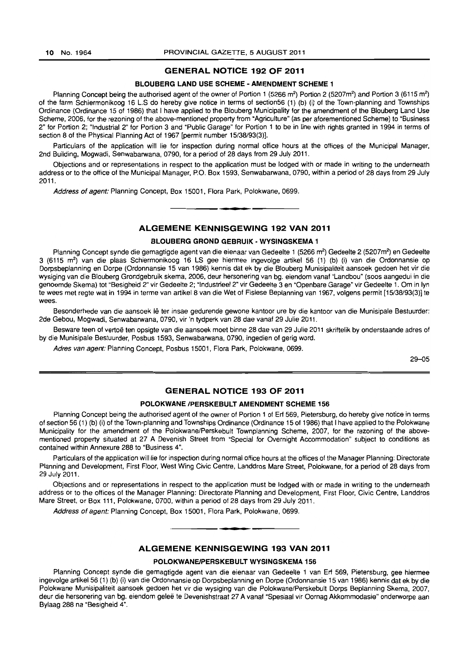#### GENERAL NOTICE 192 OF 2011

#### BLOUBERG LAND USE SCHEME - AMENDMENT SCHEME 1

Planning Concept being the authorised agent of the owner of Portion 1 (5266 m<sup>2</sup>) Portion 2 (5207m<sup>2</sup>) and Portion 3 (6115 m<sup>2</sup>) of the farm Schiermonikoog 16 L.S do hereby give notice in terms of section56 (1) (b) (il of the Town-planning and Townships Ordinance (Ordinance 15 of 1986) that I have applied to the Blouberg Municipality for the amendment of the Blouberg Land Use Scheme, 2006, for the rezoning of the above-mentioned property from "Agriculture" (as per aforementioned Scheme) to "Business 2" for Portion 2; "Industrial 2" for Portion 3 and "Public Garage" for Portion 1 to be in line with rights granted in 1994 in terms of section 8 of the Physical Planning Act of 1967 [permit number 15/38/93(3)].

Particulars of the application will lie for inspection during normal office hours at the offices of the Municipal Manager, 2nd Building, Mogwadi, Senwabarwana, 0790, for a period of 28 days from 29 July 2011.

Objections and or representations in respect to the application must be lodged with or made in writing to the underneath address or to the office of the Municipal Manager, P.O. Box 1593, Senwabarwana, 0790, within a period of 28 days from 29 July 2011.

Address of agent: Planning Concept, Box 15001, Flora Park, Polokwane, 0699 . . **- .** 

ALGEMENE KENNISGEWING 192 VAN 2011

#### BLOUBERG GROND GEBRUIK • WYSINGSKEMA 1

Planning Concept synde die gemagtigde agent van die eienaar van Gedeelte 1 (5266 m<sup>2</sup>) Gedeelte 2 (5207m<sup>2</sup>) en Gedeelte 3 (6115 m<sup>2</sup>) van die plaas Schiermonikoog 16 LS gee hiermee ingevolge artikel 56 (1) (b) (i) van die Ordonnansie op Dorpsbeplanning en Dorpe (Ordonnansie 15 van 1986) kennis dal ek by die Blouberg Munisipaliteit aansoek gedoen het vir die wysiging van die Blouberg Grondgebruik skema, 2006, deur hersonering van bg. eiendom vanaf "Landbou" (soos aangedui in die genoemde Skema) tot "Besigheid 2" vir Gedeelte 2; "Industrieel 2" vir Gedeelte 3 en "Openbare Garage" vir Gedeelte 1. Om in Iyn te wees met regte wat in 1994 in terme van artikel 8 van die Wet of Fisiese Beplanning van 1967, volgens permit [15/38/93(3)] te wees.

Besonderhede van die aansoek lê ter insae gedurende gewone kantoor ure by die kantoor van die Munisipale Bestuurder: 2de Gebou. Mogwadi, Senwabarwana, 0790, vir 'n tydperk van 28 dae vanaf 29 Julie 2011.

Besware teen of vertoë ten opsigte van die aansoek moet binne 28 dae van 29 Julie 2011 skriftelik by onderstaande adres of by die Munisipale Bestuurder, Posbus 1593, Senwabarwana, 0790, ingedien of gerig word.

Adres van agent: Planning Concept, Posbus 15001. Flora Park, Polokwane, 0699.

29-05

#### GENERAL NOTICE 193 OF 2011

#### POLOKWANE /PERSKEBULT AMENDMENT SCHEME 156

Planning Concept being the authorised agent of the owner of Portion 1 of Erf 569, Pietersburg, do hereby give notice in terms of section 56 (1) (b) (i) of the Town-planning and Townships Ordinance (Ordinance 15 of 1986) that I have applied to the Polokwane Municipality for the amendment of the Polokwane/Perskebult Townplanning Scheme. 2007, for the rezoning of the abovementioned property situated at 27 A Devenish Street from "Special for Overnight Accommodation" subject to conditions as contained within Annexure 288 to "Business 4".

Particulars of the application will lie for inspection during normal office hours at the offices of the Manager Planning: Directorate Planning and Development, First Floor, West Wing Civic Centre. Landdros Mare Street, Polokwane, for a period of 28 days from 29 July 2011.

Objections and or representations in respect to the application must be lodged with or made in writing to the underneath address or to the offices of the Manager Planning: Directorate Planning and Development, First Floor, Civic Centre, Landdros Mare Street, or Box 111, Polokwane, 0700, within a period of 28 days from 29 July 2011.

Address of agent: Planning Concept, Box 15001, Flora Park. Polokwane, 0699.

# ALGEMENE KENNISGEWING 193 VAN 2011

**•** 

#### POLOKWANEIPERSKEBULT WYSINGSKEMA 156

Planning Concept synde die gemagtigde agent van die eienaar van Gedeelte 1 van Erf 569, Pietersburg. gee hiermee ingevolge artikel 56 (1) (b) (i) van die Ordonnansie op Dorpsbeplanning en Dorpe (Ordonnansie 15 van 1986) kennis dat ek by die Polokwane Munisipaliteit aansoek gedoen het vir die wysiging van die Polokwane/Perskebult Dorps Beplanning Skema, 2007, deur die hersonering van bg. eiendom geleë te Devenishstraat 27 A vanaf "Spesiaal vir Oornag Akkommodasie" onderworpe aan Bylaag 288 na "Besigheid 4".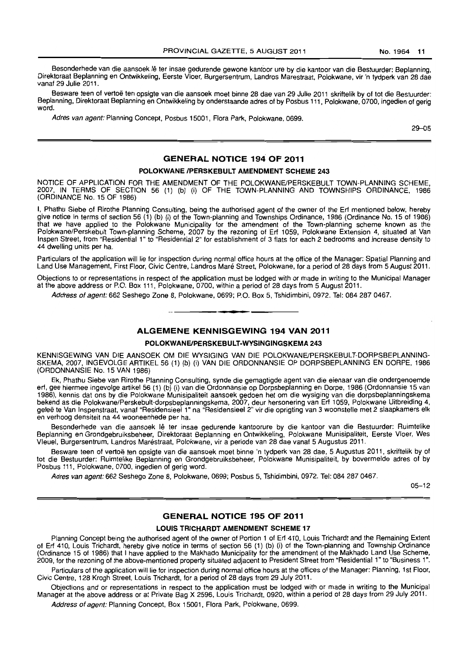Besonderhede van die aansoek lê ter insae gedurende gewone kantoor ure by die kantoor van die Bestuurder: Beplanning, Direktoraat Beplanning en Ontwikkeling, Eerste Vloer, Burgersentrum, Landros Marestraat, Polokwane, vir 'n tydperk van 28 dae vanaf 29 Julie 2011.

Besware teen of vertoë ten opsigte van die aansoek moet binne 28 dae van 29 Julie 2011 skriftelik by of tot die Bestuurder: Beplanning, Direktoraat Beplanning en Ontwikkeling by onderstaande adres of by Posbus 111, Polokwane, 0700, ingedien of gerig word.

Adres van agent: Planning Concept, Posbus 15001, Flora Park, Polokwane, 0699.

29-05

# **GENERAL NOTICE 194 OF 2011**

#### **POLOKWANE IPERSKEBULT AMENDMENT SCHEME 243**

NOTICE OF APPLICATION FOR THE AMENDMENT OF THE POLOKWANE/PERSKEBULT TOWN-PLANNING SCHEME, 2007, IN TERMS OF SECTION 56 (1) (b) (i) OF THE TOWN-PLANNING AND TOWNSHIPS ORDINANCE, 1986 (ORDINANCE No. 15 OF 1986)

I, Phathu Siebe of Rirothe Planning Consulting, being the authorised agent of the owner of the Ert mentioned below, hereby give notice in terms of section 56 (1) (b) (i) of the Town-planning and Townships Ordinance, 1986 (Ordinance No. 15 of 1986) that we have applied to the Polokwane Municipality for the amendment of the Town-planning scheme known as the Poiokwane/Perskebult Town-planning Scheme, 2007 by the rezoning of Ert 1059, Polokwane Extension 4, situated at Van Inspen Street, from "Residential 1" to "Residential 2" for establishment of 3 flats for each 2 bedrooms and increase density to 44 dwelling units per ha.

Particulars of the application will lie for inspection during normal office hours at the office of the Manager: Spatial Planning and Land Use Management, First Floor, Civic Centre, Landros Mare Street, Polokwane, for a period of 28 days from 5 August 2Q11.

Objections to or representations in respect of the application must be lodged with or made in writing to the Municipal Manager at the above address or P.O. Box 111, Polokwane, 0700, within a period of 28 days from 5 August 2011.

Address of agent: 662 Seshego Zone 8, Polokwane, 0699; P.O. Box 5, Tshidimbini, 0972. Tel: 084 287 0467.

### **ALGEMENE KENNISGEWING 194 VAN 2011**

I **\_ •** 

#### **POLOKWANEIPERSKEBULT-WYSINGINGSKEMA 243**

KENNISGEWING VAN DIE AANSOEK OM DIE WYSIGING VAN DIE POLOKWANE/PERSKEBULT-DORPSBEPLANNING-SKEMA, 2007, INGEVOLGE ARTIKEL 56 (1) (b) (i) VAN DIE ORDONNANSIE OP DORPSBEPLANNING EN DORPE, 1986 (ORDONNANSIE No. 15 VAN 1986)

Ek, Phathu Siebe van Rirothe Planning Consulting, synde die gemagtigde agent van die eienaar van die ondergenoemde erf, gee hiermee ingevolge artikel 56 (1) (b) (i) van die Ordonnansie op Dorpsbeplanning en Dorpe, 1986 (Ordonnansie 15 van 1986), kennis dat ons by die Polokwane Munisipaliteit aansoek gedoen het om die wysiging van die dorpsbeplanningskema bekend as die Polokwane/Perskebult-dorpsbeplanningskema, 2007, deur hersonering van Erf 1059, Polokwane Uitbreiding 4, geleë te Van Inspenstraat, vanaf "Residensieel 1" na "Residensieel 2" vir die oprigting van 3 woonstelle met 2 slaapkamers elk en verhoog densiteit na 44 wooneenhede per ha.

Besonderhede van die aansoek lê ter insae gedurende kantoorure by die kantoor van die Bestuurder: Ruimtelike Beplanning en Grondgebruiksbeheer, Direktoraat Beplanning en Ontwikkeling, Polokwane Munisipaliteit, Eerste Vloer, Wes Vleuel, Burgersentrum, Landros Maréstraat, Polokwane, vir a periode van 28 dae vanaf 5 Augustus 2011.

Besware teen of vertoë ten opsigte van die aansoek moet binne 'n tydperk van 28 dae, 5 Augustus 2011, skriftelik by of tot die Bestuurder: Ruimtelike Beplanning en Grondgebruiksbeheer, Polokwane Munisipaliteit, by bovermelde adres of by Posbus 111, Polokwane, 0700, ingedien of gerig word.

Adres van agent: 662 Seshego Zone 8, Polokwane, 0699; Posbus 5, Tshidimbini, 0972. Tel: 084 287 0467.

05-12

#### **GENERAL NOTICE 195 OF 2011**

#### **LOUIS TRICHARDT AMENDMENT SCHEME 17**

Planning Concept being the authorised agent of the owner of Portion 1 of Erf 410, Louis Trichardt and the Remaining Extent of Erf 410, Louis Trichardt, hereby give notice in terms of section 56 (1) (b) (i) of the Town-planning and Township Ordinance (Ordinance 15 of 1986) that I have applied to the Makhado Municipality for the amendment of the Makhado Land Use Scheme, 2009, for the rezoning of the above-mentioned property situated adjacent to President Street from "Residential 1" to "Business 1".

Particulars of the application will lie for inspection during normal office hours at the offices of the Manager: Planning, 1st Floor, Civic Centre, 128 Krogh Street. Louis Trichardt, for a period of 28 days from 29 July 2011.

Objections and or representations in respect to the application must be lodged with or made in writing to the Municipal Manager at the above address or at Private Bag X 2596, Louis Trichardt. 0920, within a period of 28 days from 29 July 2011.

Address of agent: Planning Concept, Box 15001, Flora Park, Polokwane, 0699.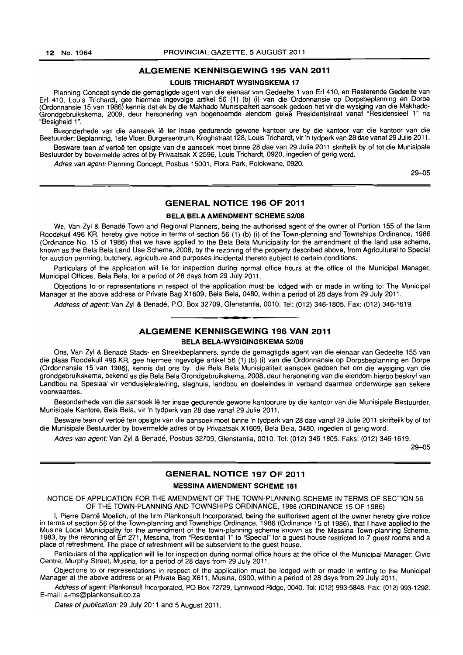#### **ALGEMENE KENNISGEWING 195 VAN 2011**

#### **LOUIS TRICHARDT WYSINGSKEMA 17**

Planning Concept synde die gemagtigde agent van die eienaar van Gedeelte 1 van Erf 410, en Resterende Gedeelte van Erf 410, Louis Trichardt, gee hiermee ingevolge artikel 56 (1) (b) (i) van die Ordonnansie op Dorpsbeplanning en Dorpa (Ordonnansie 15 van 1986) kennis dat ek by die Makhado Munisipaliteit aansoek gedoen het vir die wysiging van die Makhado-Grondgebruikskema. 2009. deur hersonering van bogenoemde eiendom gelee Presidentstraat vanaf "Residensieel 1" na "Besigheid 1".

Besonderhede van die aansoek lê ter insae gedurende gewone kantoor ure by die kantoor van die kantoor van die Bestuurder: Beplanning. 1 ste Vloer, Burgersentrum, Kroghstraat 128. Louis Trichardt, vir 'n tydperk van 28 dae vanaf 29 Julie 2011. Besware teen of vertoë ten opsigte van die aansoek moet binne 28 dae van 29 Julie 2011 skriftelik by of tot die Munisipale

Bestuurder by bovermelde adres of by Privaatsak X 2596, Louis Trichardt, 0920, ingedien of gerig word.

Adres van agent: Planning Concept, Posbus 15001, Flora Park, Polokwane, 0920.

29-05

# **GENERAL NOTICE 196 OF 2011**

#### **BELA BELA AMENDMENT SCHEME 52/08**

We, Van Zyl & Benadé Town and Regional Planners, being the authorised agent of the owner of Portion 155 of the farm Roodekuil 496 KR. hereby give notice in terms of section 56 (1) (b) (i) of the Town-planning and Townships Ordinance, 1986 (Ordinance No. 15 of 1986) that we have applied to the Bela Bela Municipality for the amendment of the land use scheme, known as the Bela Bela Land Use Scheme. 2008. by the rezoning of the property described above, from Agricultural to Special for auction pen/ring, butchery, agriculture and purposes incidental thereto subject to certain conditions.

Particulars of the application will lie for inspection during normal office hours at the office of the Municipal Manager, Municipal Offices, Bela Bela, for a period of 28 days from 29 July 2011.

Objections to or representations in respect of the application must be lodged with or made in writing to: The Municipal Manager at the above address or Private Bag X1609, Bela Bela, 0480, within a period of 28 days from 29 July 2011.

Address of agent: Van Zyl & Benadé, P.O. Box 32709, Glenstantia, 0010, Tel: (012) 346-1805. Fax: (012) 346-1619. **•** 

# **ALGEMENE KENNISGEWING 196 VAN 2011**

**BELA BELA-WYSIGINGSKEMA 52/08** 

Ons, Van lyl & Benade Stads- en Streekbeplanners, synde die gemagtigde agent van die eienaar van Gedeelte 155 van die plaas Roodekuil 496 KR, gee hiermee ingevolge artikel 56 (1) (b) (i) van die Ordonnansie op Dorpsbeplanning en Dorpe (Ordonnansie 15 van 1986), kennis dat ons by die Bela Bela Munisipaliteit aansoek gedoen het om die wysiging van die grondgebruikskema, bekend as die Bela Bela Grondgebruikskema, 2008, deur hersonering van die eiendom hierbo beskryf van Landbou na Spesiaal vir vendusiekrale/ring, slaghuis, landbou en doeleindes in verband daarmee onderworpe aan sekere voorwaardes.

Besonderhede van die aansoek lê ter insae gedurende gewone kantoorure by die kantoor van die Munisipale Bestuurder, Munisipale Kantore, Bela Bela, vir 'n tydperk van 28 dae vanaf 29 Julie 2011.

Besware teen of vertoë ten opsigte van die aansoek moet binne 'n tydperk van 28 dae vanaf 29 Julie 2011 skriftelik by of tot die Munisipale Bestuurder by bovermelde adres of by Privaatsak X1609, Bela Bela, 0480, ingedien of gerig word.

Adres van agent: Van Zyl & Benadé, Posbus 32709, Glenstantia, 0010. Tel: (012) 346-1805. Faks: (012) 346-1619.

29-05

### **GENERAL NOTICE 197 OF 2011**

#### **MESSINA AMENDMENT SCHEME 181**

NOTICE OF APPLICATION FOR THE AMENDMENT OF THE TOWN-PLANNING SCHEME IN TERMS OF SECTION 56 OF THE TOWN-PLANNING AND TOWNSHIPS ORDINANCE, 1986 (ORDINANCE 15 OF 1986)

I, Pierre Danté Moelich, of the firm Plankonsult Incorporated, being the authorised agent of the owner hereby give notice in terms of section 56 of the Town-planning and Townships Ordinance, 1986 (Ordinance 15 of 1986), that I have applied to the Musina Local Municipality for the amendment of the town-planning scheme known as the Messina Town-planning Scheme, 1983, by the rezoning of Erf 271, Messina, from "Residential 1" to "Special" for a guest house restricted to 7 guest rooms and a place of refreshment. The place of refreshment will be subservient to the guest house.

Particulars of the application will lie for inspection during normal office hours at the office of the Municipal Manager: Civic Centre, Murphy Street, Musina. for a period of 28 days from 29 July 2011.

Objections to or representations in respect of the application must be lodged with or made in writing to the Municipal Manager at the above address or at Private Bag X611, Musina, 0900, within a period of 28 days from 29 July 2011.

Address of agent: Plankonsult Incorporated, PO Box 72729, Lynnwood Ridge, 0040. Tel: (012) 993-5848. Fax: (012) 993-1292. E-mail: a-ms@plankonsult.co.za

Dates of publication: 29 July 2011 and 5 August 2011.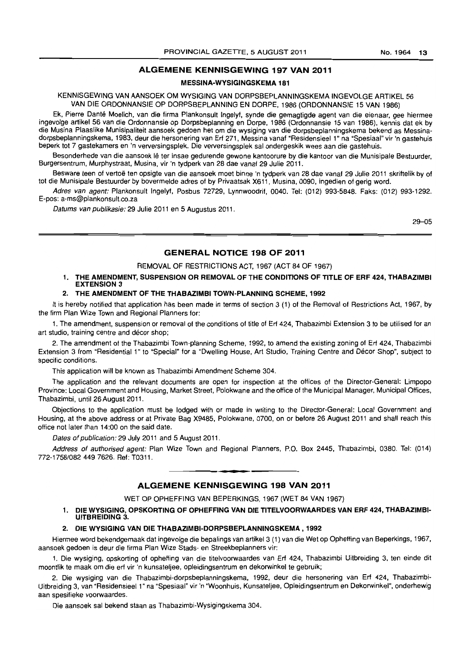#### **ALGEMENE KENNISGEWING 197 VAN 2011**

#### **MESSINA-WYSIGINGSKEMA 181**

KENNISGEWING VAN AANSOEK OM WYSIGING VAN DORPSBEPLANNINGSKEMA INGEVOLGE ARTIKEL 56 VAN DIE ORDONNANSIE OP DORPSBEPLANNING EN DORPE, 1986 (ORDONNANSIE 15 VAN 1986)

Ek, Pierre Dante Moelich, van die firma Plankonsult Ingelyf, synde die gemagtigde agent van die eienaar, gee hiermee ingevolge artikel 56 van die Ordonnansie op Dorpsbeplanning en Dorpe, 1986 (Ordonnansie 15 van 1986), kennis dat ek by die Musina Plaaslike Munisipaliteit aansoek gedoen het om die wysiging van die dorpsbeplanningskema bekend as Messinadorpsbeplanningskema, 1983, deur die hersonering van Ert 271, Messina vanaf "Residensieel 1" na "Spesiaal" vir 'n gastehuis beperk tot 7 gastekamers en 'n verversingsplek. Die verversingsplek sal ondergeskik wees aan die gastehuis.

Besonderhede van die aansoek lê ter insae gedurende gewone kantoorure by die kantoor van die Munisipale Bestuurder, Burgersentrum, Murphystraat, Musina, vir 'n tydperk van 28 dae vanaf 29 Julie 2011.

Besware teen of vertoë ten opsigte van die aansoek moet binne 'n tydperk van 28 dae vanaf 29 Julie 2011 skriftelik by of tot die Munisipale Bestuurder by bovermelde adres of by Privaatsak X611, Musina, 0090, ingedien of gerig word.

Adres van agent: Plankonsult Ingelyf, Posbus 72729, Lynnwoodrif, 0040. Tel: (012) 993-5848. Faks: (012) 993-1292. E-pos: a-ms@plankonsult.co.za

Datums van pubfikasie: 29 Julie 2011 en 5 Augustus 2011.

29-05

#### **GENERAL NOTICE 198 OF 2011**

#### REMOVAL OF RESTRICTIONS ACT, 1967 (ACT 84 OF 1967)

#### 1. **THE AMENDMENT, SUSPENSION OR REMOVAL OF THE CONDITIONS OF TITLE OF ERF 424, THABAZIMBI EXTENSION 3**

#### 2. **THE AMENDMENT OF THE THABAZIMBI TOWN-PLANNING SCHEME, 1992**

It is hereby notified that application has been made in terms of section 3 (1) of the Removal of Restrictions Act, 1967, by the firm Plan Wize Town and Regional Planners for:

1. The amendment, suspension or removal of the conditions of title of Ert 424, Thabazimbi Extension 3 to be utilised for an art studio, training centre and décor shop;

2. The amendment of the Thabazimbi Town-planning Scheme, 1992, to amend the existing zoning of Ert 424, Thabazimbi Extension 3 from "Residential 1" to "Special" for a "Dwelling House, Art Studio, Training Centre and Decor Shop", subject to specific conditions.

This application will be known as Thabazimbi Amendment Scheme 304.

The application and the relevant documents are open for inspection at the offices of the Director-General: limpopo Province: Local Government and Housing, Market Street, Polokwane and the office of the Municipal Manager, Municipal Offices, Thabazimbi, until 26 August 2011.

Objections to the application must be lodged with or made in writing to the Director-General: Local Government and Housing, at the above address or at Private Bag X9485, Polokwane, 0700, on or before 26 August 2011 and shall reach this office not later than 14:00 on the said date.

Dates of publication: 29 July 2011 and 5 August 2011.

Address of authorised agent: Plan Wize Town and Regional Planners, P.O. Box 2445, Thabazimbi, 0380. Tel: (014) 772-1758/082 449 7626. Ref: T0311.

I **\_ I** 

#### **ALGEMENE KENNISGEWING 198 VAN 2011**

WET OP OPHEFFING VAN BEPERKINGS, 1967 (WET 84 VAN 1967)

1. **DIE WYSIGING, OPSKORTING OF OPHEFFING VAN DIE TITELVOORWAARDES VAN ERF 424, THABAZIMBt-UITBREIDING** 3.

#### 2. **DIE WYSIGING VAN DIE THABAZIMBI-DORPSBEPLANNINGSKEMA I 1992**

Hiermee word bekendgemaak dat ingevolge die bepalings van artikel3 (1) van die Wet op Opheffing van Beperkings, 1967, aansoek gedoen is deur die firma Plan Wize Stads- en Streekbeplanners vir:

1. Die wysiging, opskorting of opheffing van die titelvoorwaardes van Ert 424, Thabazimbi Uitbreiding 3, ten einde dit moontlik te maak om die ert vir 'n kunsateljee, opleidingsentrum en dekorwinkel te gebruik;

2. Die wysiging van die Thabazimbi-dorpsbeplanningskema, 1992, deur die hersonering van Erf 424, Thabazimbi-Uitbreiding 3, van "Residensieel 1" na "Spesiaal" vir 'n "Woonhuis, Kunsateljee, Opleidingsentrum en Dekorwinkel", onderhewig aan spesifieke voorwaardes.

Die aansoek sal bekend staan as Thabazimbi-Wysigingskema 304.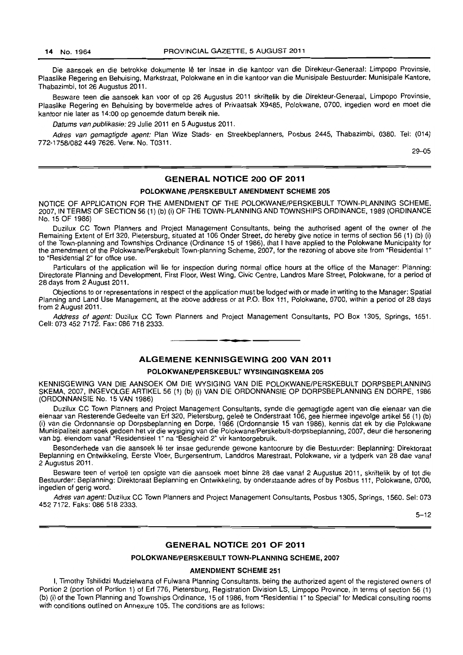Die aansoek en die betrokke dokumente lê ter insae in die kantoor van die Direkteur-Generaal: Limpopo Provinsie, Plaaslike Regering en Behuising, Markstraat, Polokwane en in die kantoor van die Munisipale Bestuurder: Munisipale Kantore, Thabazimbi, tot 26 Augustus 2011.

Besware teen die aansoek kan voor of op 26 Augustus 2011 skriftelik by die Direkteur-Generaal, Limpopo Provinsie, Plaaslike Regering en Behuising by bovermelde adres of Privaatsak X9485, Polokwane, 0700, ingedien word en moet die kantoor nie later as 14:00 op genoemde datum bereik nie.

Datums van publikasie: 29 Julie 2011 en 5 Augustus 2011.

Adres van gemagtigde agent; Plan Wize Stads- en Streekbeplanners, Posbus 2445, Thabazimbi, 0380. Tel: (014) 772-1758/0824497626. Verw. No. T0311.

29-05

### GENERAL NOTICE 200 OF 2011

#### POLOKWANE /PERSKEBULT AMENDMENT SCHEME 205

NOTICE OF APPLICATION FOR THE AMENDMENT OF THE POLOKWANEIPERSKEBULT TOWN-PLANNING SCHEME, 2007, IN TERMS OF SECTION 56 (1) (b) (i) OF THE TOWN-PLANNING AND TOWNSHIPS ORDINANCE, 1989 (ORDINANCE No. 15 OF 1986)

Duzilux CC Town Planners and Project Management Consultants, being the authorised agent of the owner of the Remaining Extent of Erf 320. Pietersburg, situated at 106 Onder Street, do hereby give notice in terms of section 56 (1) (b) (i) of the Town-planning and Townships Ordinance (Ordinance 15 of 1986), that I have applied to the Polokwane Municipality for the amendment of the Polokwane/Perskebult Town-planning Scheme, 2007, for the rezoning of above site from "Residential 1" to "Residential 2" for office use.

Particulars of the application will lie for inspection during normal office hours at the office of the Manager: Planning: Directorate Planning and Development, First Floor, West Wing, Civic Centre, Landros Mare Street, Palokwane, for a period of 28 days from 2 August 2011.

Objections to or representations in respect of the application must be lodged with or made in writing to the Manager: Spatial Planning and Land Use Management, at the above address or at P.O. Box 111, Polakwane, 0700, within a period of 28 days from 2 August 2011.

Address of agent: Duzilux CC Town Planners and Project Management Consultants, PO Box 1305, Springs. 1651. Cell: 073 452 7172. Fax: 086 718 2333.

#### ALGEMENE KENNISGEWING 200 VAN 2011

**I •** 

#### POLOKWANEIPERSKEBULT WYSINGINGSKEMA 205

KENNISGEWING VAN DIE AANSOEK OM DIE WYSIGING VAN DIE POLOKWANE/PERSKEBULT DORPSBEPLANNING SKEMA. 2007, INGEVOLGE ARTIKEL 56 (1) (b) (i) VAN DIE ORDONNANSIE OP DORPSBEPLANNING EN DORPE, 1986 (ORDONNANSIE No. 15 VAN 1986)

Duzilux CC Town Planners and Project Management Consultants, synde die gemagtigde agent van die eienaar van die eienaar van Resterende Gedeelte van Erf 320, Pietersburg, geleë te Onderstraat 106, gee hiermee ingevolge artikel 56 (1) (b) (i) van die Ordonnansie ap Dorpsbeplanning en Darpa, 1986 (Ordonnansie 15 van 1986), kennis dat ek by die Polokwane Munisipaliteit aansaek gedaen het vir die wysiging van die Polokwane/Perskebult-dorpsbeplanning, 2007, deur die hersanering van bg. eiendom vanaf "Residensieel 1" na "Besigheid 2" vir kantaorgebruik.

Besonderhede van die aansoek lê ter insae gedurende gewone kantoorure by die Bestuurder: Beplanning: Direktoraat Beplanning en Ontwikkeling, Eerste Vloer, Burgersentrum, Landdros Marestraat, Polokwane, vir a tydperk van 28 dae vanaf 2 Augustus 2011.

Besware teen of vertoë ten opsigte van die aansoek moet binne 28 dae vanaf 2 Augustus 2011, skriftelik by of tot die Bestuurder: Beplanning: Direktoraat Beplanning en Ontwikkeling, by onderstaande adres of by Posbus 111, Polokwane, 0700, ingedien of gerig word.

Adres van agent: Duzilux CC Town Planners and Project Management Consultants, Posbus 1305, Springs, 1560. Sel: 073 4527172. Faks: 086 518 2333.

5-12

#### GENERAL NOTICE 201 OF 2011

#### POLOKWANEIPERSKEBULT TOWN-PLANNING SCHEME, 2007

#### AMENDMENT SCHEME 251

I, Timothy Tshilidzi Mudzielwana of Fulwana Planning Consultants, being the authorized agent of the registered owners of Portion 2 (portion of Portion 1) of Erf 776, Pietersburg, Registration Division LS, Limpopo Province, in terms of section 56 (1) (b) (i) of the Town Planning and Townships Ordinance, 15 of 1986, from "Residential 1" to Special" for Medical consulting rooms with conditions outlined on Annexure 105. The conditions are as follows: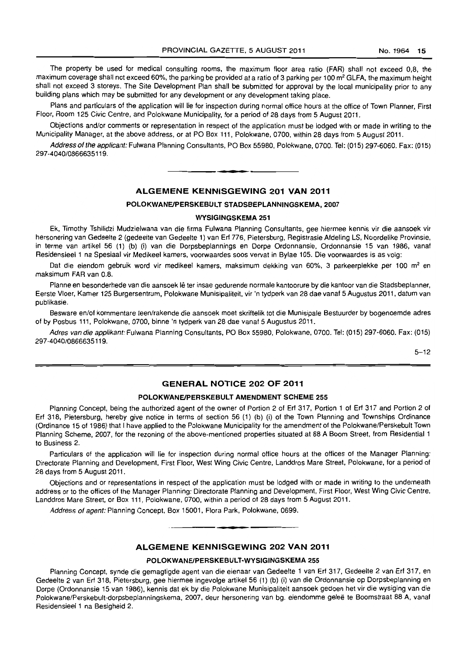The property be used for medical consulting rooms, the maximum floor area ratio (FAR) shall not exceed 0,8, the maximum coverage shall not exceed 60%, the parking be provided at a ratio of 3 parking per 100 m<sup>2</sup> GLFA, the maximum height shall not exceed 3 storeys. The Site Development Plan shall be submitted for approval by the local municipality prior to any building plans which may be submitted for any development or any development taking place.

Plans and particulars of the application will lie for inspection during normal office hours at the office of Town Planner, First Floor, Room 125 Civic Centre, and Polokwane Municipality, for a period of 28 days from 5 August 2011.

Objections and/or comments or representation in respect of the application must be lodged with or made in writing to the Municipality Manager, at the above address, or at PO Box 111, Polokwane, 0700, within 28 days from 5 August 2011.

Address of the applicant: Fulwana Planning Consultants, PO Box 55980, Polokwane, 0700. Tel: (015) 297-6060. Fax: (015) 297-4040/0866635119.

n **• I** 

# ALGEMENE KENNISGEWING 201 VAN 2011

#### POLOKWANEIPERSKEBULT STADSBEPLANNINGSKEMA, 2007

#### WYSIGINGSKEMA 251

Ek, Timothy Tshilidzi Mudzielwana van die firma Fulwana Planning Consultants, gee hiermee kennis vir die aansoek vir hersonering van Gedeelte 2 (gedeelte van Gedeelte 1) van Erf 776, Pietersburg, Registrasie Afdeling LS, Noordelike Provinsie, in terme van artikel 56 (1) (b) (i) van die Dorpsbeplannings en Dorpe Ordonnansie, Ordonnansie 15 van 1986, vanal Residensieel 1 na Spesiaal vir Medikeel kamers, voorwaardes soos vervat in Bylae 105. Die voorwaardes is as volg:

Dat die eiendom gebruik word vir medikeel kamers, maksimum dekking van 60%, 3 parkeerplekke per 100 m<sup>2</sup> en maksimum FAR van 0.8.

Planne en besonderhede van die aansoek lê ter insae gedurende normale kantoorure by die kantoor van die Stadsbeplanner, Eerste Vloer, Kamer 125 Burgersentrum, Polokwane Munisipaliteit, vir 'n tydperk van 28 dae vanaf 5 Augustus 2011, datum van publikasie.

Besware en/of kommentare teen/rakende die aansoek moet skriftelik tot die Munisipale Bestuurder by bogenoemde adres of by Posbus 111, Polokwane, 0700, binne 'n tydperk van 28 dae vanal 5 Augustus 2011.

Adres van die applikant: Fulwana Planning Consultants, PO Box 55980, Polokwane, 0700. Tel: (015) 297·6060. Fax: (015) 297-4040/0866635119.

 $5 - 12$ 

#### GENERAL NOTICE 202 OF 2011

#### POLOKWANEIPERSKEBULT AMENDMENT SCHEME 255

Planning Concept, being the authorized agent of the owner of Portion 2 of Erf 317, Portion 1 of Erf 317 and Portion 2 of Erf 318, Pietersburg, hereby give notice in terms of section 56 (1) (b) (i) of the Town Planning and Townships Ordinance (Ordinance 15 of 1986) that I have applied to the Polokwane Municipality for the amendment of the Polokwane/Perskebult Town Planning Scheme, 2007, for the rezoning of the above-mentioned properties situated at 88 A Boom Street, from Residential 1 to Business 2.

Particulars of the application will lie for inspection during normal office hours at the offices of the Manager Planning: Directorate Planning and Development, First Floor, West Wing Civic Centre, Landdros Mare Street, Polokwane, for a period of 28 days from 5 August 2011.

Objections and or representations in respect of the application must be lodged with or made in writing to the underneath address or to the offices of the Manager Planning: Directorate Planning and Development, First Floor, West Wing Civic Centre, Landdros Mare Street, or Box 111, Polokwane, 0700, within a period of 28 days from 5 August 2011.

Address of agent: Planning Concept, Box 15001, Flora Park, Polokwane, 0699.

#### ALGEMENE KENNISGEWING 202 VAN 2011

**•** 

#### POLOKWANEIPERSKEBULT·WYSIGINGSKEMA 255

Planning Concept, synde die gemagtigde agent van die eienaar van Gedeelte 1 van Erf 317, Gedeelte 2 van Erf 317, en Gedeelte 2 van Erf 318, Pietersburg, gee hiermee ingevolge artikel 56 (1) (b) (i) van die Ordonnansie op Dorpsbeplanning en Dorpe (Ordonnansie 15 van 1986), kennis dat ek by die Polokwane Munisipaliteit aansoek gedoen het vir die wysiging van die Polokwane/Perskebult-dorpsbeplanningskema, 2007, deur hersonering van bg. eiendomme geleë te Boomstraat 88 A, vanaf Residensieel 1 na Besigheid 2.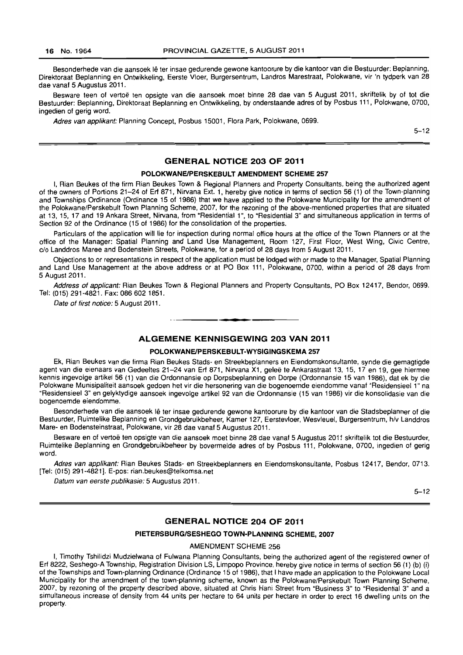Besonderhede van die aansoek Iê ter insae gedurende gewone kantoorure by die kantoor van die Bestuurder: Beplanning, Direktoraat Beplanning en Ontwikkeling, Eerste Vloer, Burgersentrum, Landros Marestraat, Polokwane, vir 'n tydperk van 28 dae vanaf 5 Augustus 2011.

Besware teen of vertoë ten opsigte van die aansoek moet binne 28 dae van 5 August 2011, skriftelik by of tot die Bestuurder: Beplanning, Direktoraat Beplanning en Ontwikkeling, by onderstaande adres of by Posbus 111, Polokwane, 0700, ingedien of gerig word.

Adres van applikant: Planning Concept, Posbus 15001, Flora Park, Polokwane, 0699.

5-12

# **GENERAL NOTICE 203 OF 2011**

#### **POLOKWANEIPERSKEBULT AMENDMENT SCHEME 257**

I, Rian Beukes of the firm Rian Beukes Town & Regional Planners and Property Consultants, being the authorized agent of the owners of Portions 21-24 of Erf 871, Nirvana Ext. 1, hereby give notice in terms of section 56 (1) of the Town·planning and Townships Ordinance (Ordinance 15 of 1986) that we have applied to the Polokwane Municipality for the amendment of the Polokwane/Perskebult Town Planning Scheme, 2007, for the rezoning of the above·mentioned properties that are situated at 13, 15, 17 and 19 Ankara Street, Nirvana, from "Residential 1 ", to "Residential 3" and simultaneous application in terms of Section 92 of the Ordinance (15 of 1986) for the consolidation of the properties.

Particulars of the application will lie for inspection during normal office hours at the office of the Town Planners or at the office of the Manager: Spatial Planning and Land Use Management, Room 127, First Floor, West Wing, Civic Centre, c/o Landdros Maree and Bodenstein Streets, Polokwane, for a period of 28 days from 5 August 2011.

Objections to or representations in respect of the application must be lodged with or made to the Manager, Spatial Planning and Land Use Management at the above address or at PO Box 111, Polokwane, 0700, within a period of 28 days from 5 August 2011.

Address of applicant: Rian Beukes Town & Regional Planners and Property Consultants, PO Box 12417, Bendor, 0699. Tel: (015) 291-4821. Fax: 086 6021851.

Date of first notice: 5 August 2011.

#### **ALGEMENE KENNISGEWING 203 VAN 2011**

I **\_ I** 

#### **POLOKWANEIPERSKEBULT-WVSIGINGSKEMA 257**

Ek, Rian Beukes van die firma Rian Beukes Stads· en Streekbeplanners en Eiendomskonsultante, synde die gemagtigde agent van die eienaars van Gedeeltes 21-24 van Erf 871, Nirvana X1, geleë te Ankarastraat 13, 15, 17 en 19, gee hiermee kennis ingevolge artikel 56 (1) van die Ordonnansie op Dorpsbeplanning en Dorpe (Ordonnansie 15 van 1986), dal ek by die Polokwane Munisipaliteit aansoek gedoen het vir die hersonering van die bogenoemde eiendomme vanaf "Residensieel 1" na "Residensieel 3" en gelyktydige aansoek ingevolge artikel 92 van die Ordonnansie (15 van 1986) vir die konsolidasie van die bogenoemde eiendomme.

Besonderhede van die aansoek lê ter insae gedurende gewone kantoorure by die kantoor van die Stadsbeplanner of die Bestuurder, Ruimtelike Beplanning en Grondgebruikbeheer, Kamer 127, Eerstevloer, Wesvleuel, Burgersentrum, h/v Landdros Mare· en Bodensteinstraat, Polokwane, vir 28 dae vanaf 5 Augustus 2011.

Besware en of vertoë ten opsigte van die aansoek moet binne 28 dae vanaf 5 Augustus 2011 skriftelik tot die Bestuurder, Ruimtelike Beplanning en Grondgebruikbeheer by bovermelde adres of by Posbus 111, Polokwane, 0700, ingedien of gerig word.

Adres van applikant: Rian Beukes Stads· en Streekbeplanners en Eiendomskonsultante, Posbus 12417, Bendor, 0713. [Tel: (015) 291-4821]. E·pos: rian.beukes@telkomsa.net

Datum van eerste publikasie: 5 Augustus 2011.

5-12

#### **GENERAL NOTICE 204 OF 2011**

#### **PIETERSBURGISESHEGO TOWN-PLANNING SCHEME, 2007**

AMENDMENT SCHEME 256

I, Timothy Tshilidzi Mudzielwana of Fulwana Planning Consultants, being the authorized agent of the registered owner of Erf 8222, Seshego-A Township, Registration Division LS, Limpopo Province, hereby give notice in terms of section 56 (1) (b) (i) of the Townships and Town-planning Ordinance (Ordinance 15 of 1986), that I have made an application to the Polokwane Local Municipality for the amendment of the town-planning scheme, known as the Polokwane/Perskebult Town Planning Scheme, 2007, by rezoning of the property described above, situated at Chris Hani Street from "Business 3" to "Residential 3" and a simultaneous increase of density from 44 units per hectare to 64 units per hectare in order to erect 16 dwelling units on the property.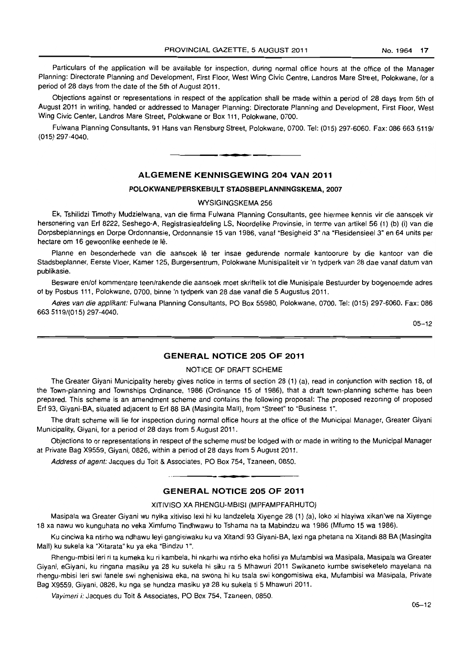Particulars of the application will be available for inspection, during normal office hours at the office of the Manager Planning: Directorate Planning and Development, First Floor, West Wing Civic Centre, Landros Mare Street, Polokwane, for a period of 28 days from the date of the 5th of August 2011.

Objections against or representations in respect of the application shall be made within a period of 28 days from 5th of August 2011 in writing, handed or addressed to Manager Planning: Directorate Planning and Development. First Floor, West Wing Civic Center, Landros Mare Street, Polokwane or Box 111, Polokwane, 0700.

Fulwana Planning Consultants, 91 Hans van Rensburg Street, Polokwane. 0700. Tel: (015) 297-6060. Fax: 086 663 51191 (015) 297-4040. **. -**

#### **ALGEMENE KENNISGEWING 204 VAN 2011**

#### **POLOKWANEIPERSKEBULT STADSBEPLANNINGSKEMA, 2007**

#### WYSIGINGSKEMA 256

Ek, Tshilidzi Timothy Mudzielwana, van die firma Fulwana Planning Consultants. gee hiermee kennis vir die aansoek vir hersonering van Erf 8222, Seshego-A, Registrasieafdeling LS. Noordelike Provinsie. in terme van artikel 56 (1) (b) (i) van die Dorpsbeplannings en Dorpe Ordonnansie. Ordonnansie 15 van 1986, vanaf "Besigheid 3" na "Residensieel 3" en 64 units per hectare om 16 gewoonlike eenhede te lê.

Planne en besonderhede van die aansoek lê ter insae gedurende normale kantoorure by die kantoor van die Stadsbeplanner, Eerste Vloer, Kamer 125, Burgersentrum, Polokwane Munisipaliteit vir 'n tydperk van 28 dae vanaf datum van publikasie.

Besware en/of kommentare teen/rakende die aansoek moet skriftelik tot die Munisipale Bestuurder by bogenoemde adres of by Posbus 111, Polokwane, 0700, binne 'n tydperk van 28 dae vanaf die 5 Augustus 2011.

Adres van die applikant: Fulwana Planning Consultants. PO Box 55980. Polokwane, 0700. Tel: (015) 297-6060. Fax: 086 6635119/(015) 297-4040.

 $05 - 12$ 

#### **GENERAL NOTICE 205 OF 2011**

#### NOTICE OF DRAFT SCHEME

The Greater Giyani Municipality hereby gives notice in terms of section 28 (1) (a), read in conjunction with section 18, of the Town-planning and Townships Ordinance, 1986 (Ordinance 15 of 1986), that a draft town-planning scheme has been prepared. This scheme is an amendment scheme and contains the following proposal: The proposed rezoning of proposed Erf 93, Giyani-BA, situated adjacent to Erf 88 BA (Masingita Mall). from 'Street" to "Business 1".

The draft scheme will lie for inspection during normal office hours at the office of the Municipal Manager, Greater Giyani Municipality, Giyani, for a period of 28 days from 5 August 2011.

Objections to or representations in respect of the scheme must be lodged with or made in writing \0 the Municipal Manager at Private Bag X9559, Giyani, 0826, within a period of 28 days from 5 August 2011.

Address of agent: Jacques du Toil & Associates, PO Box 754, Tzaneen, 0850.

# 1 **• • GENERAL NOTICE 205 OF 2011**

XITIVISO XA RHENGU-MBISI (MPFAMPFARHUTO)

Masipala wa Greater Giyani wu nyika xitiviso lexi hi ku landzelela Xiyenge 28 (1) (a), loko xi hlayiwa xikan'we na Xiyenge 18 xa nawu wo kunguhata no veka Ximfumo Tindhwawu to Tshama na ta Mabindzu wa 1986 (Mfumo 15 wa 1986).

Ku cinciwa ka ntirho wa ndhawu leyi gangisiwaku ku va Xitandi 93 Giyani-BA, lexi nga phetana na Xitandi 88 BA (Masingita Mall) ku sukela ka 'Xitarata" ku ya eka "Bindzu 1".

Rhengu-mbisi leri ri ta kumeka ku ri kambela, hi nkarhi wa ntirho eka hotisi ya Mutambisi wa Masipala, Masipala wa Greater Giyani, eGiyani, ku ringana masiku ya 28 ku sukela hi siku ra 5 Mhawuri 2011 Swikaneto kumbe swiseketelo mayelana na rhengu·mbisi leri swi fanele swi nghenisiwa eka, na swona hi ku tsala swi kongomisiwa eka, Mufambisi wa Masipala, Private Bag X9559, Giyani, 0826, ku nga se hundza masiku ya 28 ku sukela Ii 5 Mhawuri 2011.

Vayimeri i: Jacques du Toit & Associates, PO Box 754, Tzaneen, 0850.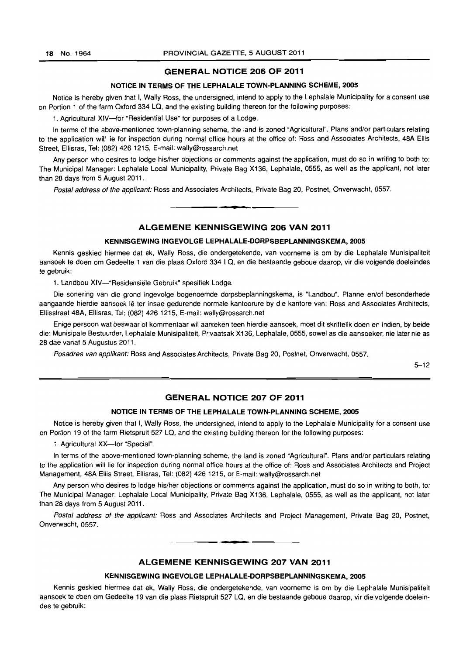#### **GENERAL NOTICE 206 OF 2011**

#### **NOTICE IN TERMS OF THE LEPHALALE TOWN-PLANNING SCHEME, 2005**

Notice is hereby given that I, Wally Ross, the undersigned, intend to apply to the Lephalale Municipality for a consent use on Portion 1 of the farm Oxford 334 LQ, and the existing building thereon for the following purposes:

1. Agricultural XIV-for "Residential Use" for purposes of a Lodge.

In terms of the above-mentioned town-planning scheme, the land is zoned "Agricultural". Plans and/or particulars relating to the application will lie for inspection during normal office hours at the office of: Ross and Associates Architects, 48A Ellis Street, Ellisras, Tel: (082) 426 1215, E-mail: wally@rossarch.net

Any person who desires to lodge his/her objections or comments against the application, must do so in writing to both to: The Municipal Manager: Lephalale Local Municipality, Private Bag X136, Lephalale, 0555, as well as the applicant, not later than 28 days from 5 August 2011.

Postal address of the applicant: Ross and Associates Architects, Private Bag 20, Postnet, Onverwacht, 0557.

#### **ALGEMENE KENNISGEWING 206 VAN 2011**

**1\_.** 

#### **KENNISGEWING INGEVOLGE LEPHALALE-DORPSBEPLANNINGSKEMA, 2005**

Kennis geskied hiermee dat ek, Wally Ross, die ondergetekende, van voorneme is om by die Lephalale Munisipaliteit aansoek te doen om Gedeelte 1 van die plaas Oxford 334 LQ, en die bestaande geboue daarop, vir die volgende doeleindes te gebruik:

1. Landbou XIV-"Residensiële Gebruik" spesifiek Lodge.

Die sonering van die grond ingevolge bogenoemde dorpsbeplanningskema, is "Landbou". Planne en/of besonderhede aangaande hierdie aansoek lê ter insae gedurende normale kantoorure by die kantore van: Ross and Associates Architects, Ellisstraat 48A, Ellisras, Tel: (082) 426 1215, E-mail: wally@rossarch.net

Enige persoon wat beswaar of kommentaar wil aanteken teen hierdie aansoek, moet dit skriftelik doen en indien, by beide die: Munisipale Bestuurder, Lephalale Munisipaliteit, Privaatsak X136, Lephalale, 0555, sowel as die aansoeker, nie later nie as 28 dae vanaf 5 Augustus 2011.

Posadres van applikant: Ross and Associates Architects, Private Bag 20, Postnet, Onverwacht, 0557.

5-12

#### **GENERAL NOTICE 207 OF 2011**

#### **NOTICE IN TERMS OF THE LEPHALALE TOWN-PLANNING SCHEME, 2005**

Notice is hereby given that I, Wally Ross, the undersigned, intend to apply to the Lephalale Municipality for a consent use on Portion 19 of the farm Rietspruit 527 LQ, and the existing building thereon for the following purposes:

1. Agricultural XX-for "Special".

In terms of the above-mentioned town-planning scheme, the land is zoned "Agricultural". Plans and/or particulars relating to the application will lie for inspection during normal office hours at the office of: Ross and Associates Architects and Project Management, 48A Ellis Street, Ellisras, Tel: (082) 426 1215, or E-mail: wally@rossarch.net

Any person who desires to lodge his/her objections or comments against the application, must do so in writing to both, to: The Municipal Manager: Lephalale Local Municipality, Private Bag X136, Lephalale, 0555, as well as the applicant, not later than 28 days from 5 August 2011.

Postal address of the applicant: Ross and Associates Architects and Project Management, Private Bag 20, Postnet, Onverwacht, 0557.

**ALGEMENE KENNISGEWING 207 VAN 2011** 

**• •** 

#### **KENNISGEWING INGEVOLGE LEPHALALE-DORPSBEPLANNINGSKEMA, 2005**

Kennis geskied hiermee dat ek, Wally Ross, die ondergetekende, van voorneme is om by die Lephalale Munisipaliteit aansoek te doen om Gedeelte 19 van die plaas Rietspruit 527 LQ, en die bestaande geboue daarop, vir die volgende doeleindes te gebruik: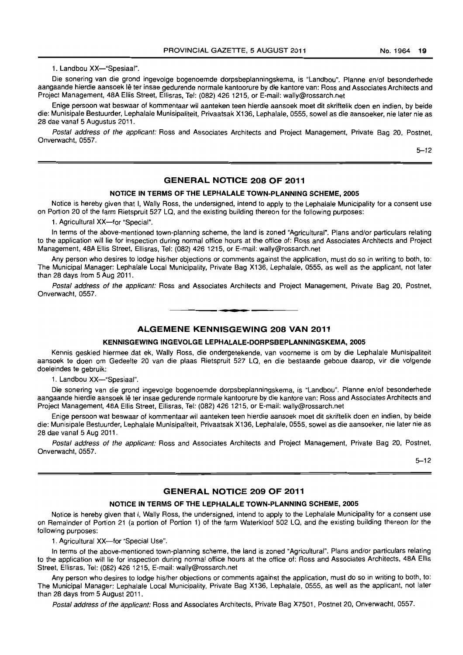1. Landbou XX-"Spesiaal".

Die sonering van die grond ingevolge bogenoemde dorpsbeplanningskema, is "Landbou". Planne en/of besonderhede aangaande hierdie aansoek Ie ter insae gedurende normale kantoorure by die kantore van: Ross and Associates Architects and Project Management, 48A Ellis Street, Ellisras, Tel: (082) 426 1215, or E-mail: wally@rossarch.net

Enige persoon wat beswaar of kommentaar wit aanteken teen hierdie aansoek moet dit skriftelik doen en indien, by beide die: Munisipale Bestuurder, Lephalale Munisipaliteit, Privaatsak X136, Lephalale, 0555, sowel as die aansoeker, nie later nie as 28 dae vanaf 5 Augustus 2011.

Postal address of the applicant: Ross and Associates Architects and Project Management, Private Bag 20, Postnet, Onverwacht, 0557.

5-12

#### **GENERAL NOTICE 208 OF 2011**

#### **NOTICE IN TERMS OF THE LEPHALALE TOWN-PLANNING SCHEME, 2005**

Notice is hereby given that I, Wally Ross, the undersigned, intend to apply to the Lephalale Municipality for a consent use on Portion 20 of the farm Rietspruit 527 LQ, and the existing building thereon for the following purposes:

1. Agricultural XX-for "Special".

In terms of the above-mentioned town-planning scheme, the land is zoned "Agricultural". Plans and/or particulars relating to the application will lie for inspection during normal office hours at the office of: Ross and Associates Architects and Project Management, 48A Ellis Street, Ellisras, Tel: (082) 426 1215, or E-mail: wally@rossarch.net

Any person who desires to lodge his/her objections or comments against the application, must do so in writing to both, to: The Municipal Manager: Lephalale Local Municipality, Private Bag X136, Lephalale, 0555, as well as the applicant. not later than 28 days from 5 Aug 2011,

Postal address of the applicant: Ross and Associates Architects and Project Management, Private Bag 20, Postnet, Onverwacht. 0557,

**• I** 

#### **ALGEMENE KENNISGEWING 208 VAN 2011**

#### **KENNISGEWING INGEVOLGE LEPHALALE-OORPSBEPLANNINGSKEMA, 2005**

Kennis geskied hiermee dat ek. Wally Ross. die ondergetekende, van voorneme is om by die Lephalale Munisipaliteit aansoek te doen om Gedeelte 20 van die plaas Rietspruit 527 LQ, en die bestaande geboue daarop, vir die volgende doeleindes te gebruik:

1. Landbou XX-"Spesiaal".

Die sonering van die grond ingevolge bogenoemde dorpsbeplanningskema, is "Landbou". Planne en/of besonderhede aangaande hierdie aansoek Ie ter insae gedurende normale kantoorure by die kantore van: Ross and Associates Architects and Project Management, 48A Ellis Street, Ellisras, Tel: (082) 426 1215, or E-mail: wally@rossarch.net

Enige persoon wat beswaar of kommentaar wil aanteken teen hierdie aansoek moet dit skriftelik doen en indien, by beide die: Munisipale Bestuurder. Lephalale Munisipaliteit, Privaalsak X136, Lephalale. 0555, sowel as die aansoeker, nie later nie as 28 dae vanaf 5 Aug 2011.

Postal address of the applicant: Ross and Associates Architects and Project Management, Private Bag 20, Postnet, Onverwacht. 0557.

5-12

#### **GENERAL NOTICE 209 OF 2011**

#### **NOTICE IN TERMS OF THE LEPHALALE TOWN-PLANNING SCHEME, 2005**

Notice is hereby given that I, Wally Ross. the undersigned. intend to apply to the Lephalale Municipality for a consent use on Remainder of Portion 21 (a portion of Portion 1) of the farm Waterkloof 502 LQ, and the existing building thereon for the following purposes:

1. Agricultural XX-for "Special Use".

In terms of the above-mentioned town-planning scheme, the land is zoned "Agricultural", Plans and/or particulars relating to the application will lie for inspection during normal office hours at the office of: Ross and Associates Architects. 48A Ellis Street. Ellisras. Tel: (082) 426 1215, E-mail: wally@rossarch.net

Any person who desires to lodge his/her objections or comments against the application, must do so in writing to both, to: The Municipal Manager: Lephalale Local Municipality, Private Bag X136. Lephalale. 0555, as well as the applicant, not later than 28 days from 5 August 2011.

Postal address of the applicant: Ross and Associates Architects. Private Bag X7501. Postnet 20, Onverwacht. 0557.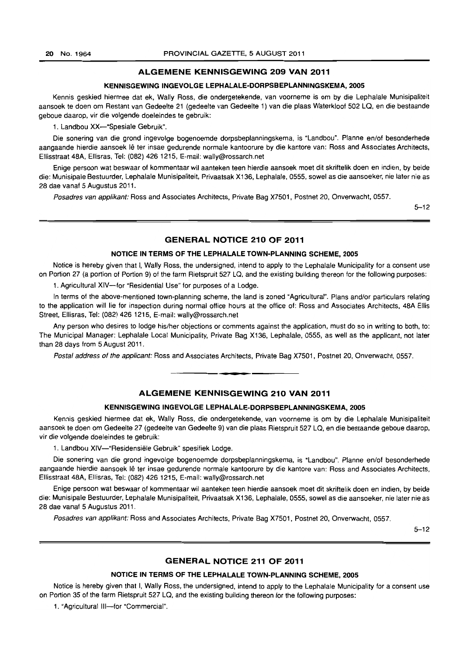#### **ALGEMENE KENNISGEWING 209 VAN 2011**

#### **KENNISGEWING INGEVOLGE LEPHALALE-DORPSBEPLANNINGSKEMA, 2005**

Kennis geskied hiermee dat ek, Wally Ross, die ondergetekende, van voorneme is om by die Lephalale Munisipaliteit aansoek te doen om Reslant van Gedeelte 21 (gedeelte van Gedeelte 1) van die plaas Waterkloof 502 LQ, en die bestaande geboue daarop, vir die volgende doeleindes te gebruik:

1. Landbou XX-"Spesiale Gebruik".

Die sonering van die grond ingevolge bogenoemde dorpsbeplanningskema, is "Landbou". Planne en/of besonderhede aangaande hierdie aansoek lê ter insae gedurende normale kantoorure by die kantore van: Ross and Associates Architects, Ellisstraat 48A, Ellisras, Tel: (082) 426 1215, E-mail: wally@rossarch.net

Enige persoon wat beswaar of kommentaar wil aanteken teen hierdie aansoek moet dit skriftelik doen en indien, by beide die: Munisipale Bestuurder, Lephalale Munisipaliteit, Privaatsak X136, Lephalale, 0555, sowel as die aansoeker, nie later nie as 28 dae vanaf 5 Augustus 2011.

Posadres van applikant: Ross and Associates Architects, Private Bag X7501, Postnet 20, Onverwacht, 0557.

5-12

#### **GENERAL NOTICE 210 OF 2011**

#### **NOTICE IN TERMS OF THE LEPHALALE TOWN-PLANNING SCHEME, 2005**

Notice is hereby given that I, Wally Ross, the undersigned, intend to apply to the Lephalale Municipality for a consent use on Portion 27 (a portion of Portion 9) of the farm Rietspruit 527 La, and the existing building thereon for the following purposes:

1. Agricultural XIV-for "Residential Use" for purposes of a Lodge.

In terms of the above-mentioned town-planning scheme, the land is zoned "Agricultural". Plans and/or particulars relating to the application will lie for inspection during normal office hours at the office of: Ross and Associates Architects, 48A Ellis Street, Ellisras, Tel: (082) 426 1215, E-mail: wally@rossarch.net

Any person who desires to lodge his/her objections or comments against the application, must do so in writing to both, to: The Municipal Manager: Lephalale Local Municipality, Private Bag X136, Lephalale, 0555, as well as the applicant, not later than 28 days from 5 August 2011.

Postal address of the applicant: Ross and Associates Architects, Private Bag X7501, Postnet 20, Onverwacht, 0557 .

#### **ALGEMENE KENNISGEWING 210 VAN 2011**

**•** 

### **KENNISGEWING INGEVOLGE LEPHALALE-DORPSBEPLANNINGSKEMA, 2005**

Kennis geskied hiermee dat ek, Wally Ross, die ondergetekende, van voorneme is om by die Lephalale Munisipaliteit aansoek te doen om Gedeelte 27 (gedeelte van Gedeelte 9) van die plaas Rietspruit 527 LQ, en die bestaande geboue daarop, vir die volgende doeleindes te gebruik:

1. Landbou XIV-"Residensiële Gebruik" spesifiek Lodge.

Die sonering van die grond ingevolge bogenoemde dorpsbeplanningskema, is "Landbou". Planne en/of besonderhede aangaande hierdie aansoek lê ter insae gedurende normale kantoorure by die kantore van: Ross and Associates Architects, Ellisstraat 48A, Ellisras, Tel: (082) 426 1215, E-mail: wally@rossarch.net

Enige persoon wat beswaar of kommentaar wil aanteken teen hierdie aansoek moet dit skriftelik doen en indien, by beide die: Munisipale Bestuurder, Lephalale Munisipaliteit, Privaatsak X136, Lephalale, 0555, sowel as die aansoeker, nie later nie as 28 dae vanaf 5 Augustus 2011.

Posadres van applikant: Ross and Associates Architects, Private Bag X7501, Postnet 20, Onverwacht, 0557.

5-12

#### **GENERAL NOTICE 211 OF 2011**

#### **NOTICE IN TERMS OF THE LEPHALALE TOWN-PLANNING SCHEME, 2005**

Notice is hereby given that I, Wally Ross, the undersigned, intend to apply to the Lephalale Municipality for a consent use on Portion 35 of the farm Rietspruit 527 LQ, and the existing building thereon for the following purposes:

1. "Agricultural III-for "Commercial".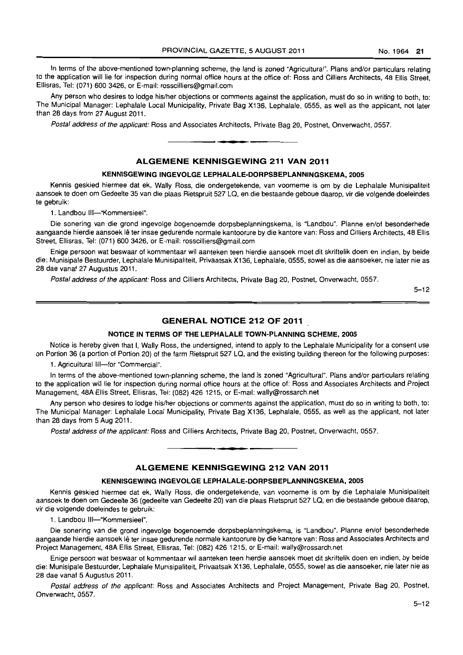In terms of the above-mentioned town-planning scheme, the land is zoned "Agricultural". Plans and/or particulars relating to the application will lie for inspection during normal office hours at the office of: Ross and Cilliers Architects, 48 Ellis Street, Ellisras, Tel: (071) 600 3426, or E-mail: rosscilliers@gmail.com

Any person who desires to lodge his/her objections or comments against the application, must do so in writing to both, *to:*  The Municipal Manager: Lephalale Local Municipality, Private Bag X136, Lephalale, 0555, as well as the applicant, not later than 28 days from 27 August 2011.

Postal address of the applicant: Ross and Associates Architects, Private Bag 20, Postnet. Onverwacht, 0557. . **-.** 

#### **ALGEMENE KENNISGEWING 211 VAN 2011**

#### **KENNISGEWING INGEVOLGE LEPHALALE-DORPSBEPLANNINGSKEMA, 2005**

Kennis geskied hiermee dat ek, Wally Ross, die ondergetekende, van voorneme is om by die Lephalale Munisipaliteit aansoek te doen om Gedeelte 35 van die plaas Rietspruit 527 LQ, en die bestaande geboue daarop. vir die volgende doeleindes te gebruik:

1. Landbou III-"Kommersieel"

Die sonering van die grond ingevolge bogenoemde dorpsbeplanningskema, is "Landbou". Planne en/of besonderhede aangaande hierdie aansoek lê ter insae gedurende normale kantoorure by die kantore van: Ross and Cilliers Architects, 48 Ellis Street, Ellisras. Tel: (071) 600 3426, or E-mail: rosscilliers@gmail.com

Enige persoon wat beswaar of kommentaar wil aanteken teen hierdie aansoek moet dit skriftelik doen en indien. by beide die: Munisipale Bestuurder. Lephalale Munisipaliteit. Privaatsak X136, Lephalale. 0555, sowel as die aansoeker, nie later nie as 28 dae vanaf 27 Augustus 2011.

Postal address of the applicant: Ross and Cilliers Architects, Private Bag 20, Postnet. Onverwacht, 0557.

5-12

# **GENERAL NOTICE 212 OF 2011**

#### **NOTICE IN TERMS OF THE LEPHALALE TOWN-PLANNING SCHEME, 2005**

Notice is hereby given that I, Wally Ross, the undersigned, intend to apply to the Lephalale Municipality for a consent use on Portion 36 (a portion of Portion 20) of the farm Rietspruit 527 LQ, and the existing building thereon for the following purposes:

1. Agricultural III-for "Commercial".

In terms of the above-mentioned town-planning scheme, the land is zoned "Agricultural". Plans and/or particulars relating to the application will lie for inspection during normal office hours at the office of: Ross and Associates Architects and Project Management, 48A Ellis Street, Ellisras, Tel: (082) 4261215, or E-mail: wally@rossarch.net

Any person who desires to lodge his/her objections or comments against the application, must do so in writing to both, to: The Municipal Manager: Lephalale Local Municipality, Private Bag X136, Lephalale, 0555, as well as the applicant, not later than 28 days from 5 Aug 2011.

Postal address of the applicant: Ross and Cilliers Architects, Private Bag 20, Postnet, Onverwacht, 0557 . . **-.** 

#### **ALGEMENE KENNISGEWING 212 VAN 2011**

### **KENNISGEWING INGEVOLGE LEPHALALE-DORPSBEPLANNINGSKEMA, 2005**

Kennis geskied hiermee dat ek, Wally Ross, die ondergetekende, van voorneme is am by die Lephalale Munisipaliteit aansoek te doen om Gedeelte 36 (gedeelte van Gedeelte 20) van die plaas Rietspruit 527 LQ, en die bestaande geboue daarop, vir die volgende doeleindes te gebruik:

1. Landbou III-"Kommersieel".

Die sonering van die grond ingevolge bogenoemde dorpsbeplanningskema, is "Landbou". Planne en/of besonderhede aangaande hierdie aansoek lê ter insae gedurende normale kantoorure by die kantore van: Ross and Associates Architects and Project Management, 48A Ellis Street, Ellisras, Tel: (082) 426 1215, or E-mail: wally@rossarch.net

Enige persoon wat beswaar of kommentaar wil aanteken teen hierdie aansoek moet dit skriftelik doen en indien, by beide die: Munisipale Bestuurder, Lephalale Munisipaliteit. Privaatsak X136, Lephalale, 0555, sowel as die aansoeker, nie later nie as 28 dae vanaf 5 Augustus 2011.

Postal address of the applicant: Ross and Associates Architects and Project Management, Private Bag 20, Postnet, Onverwacht, 0557.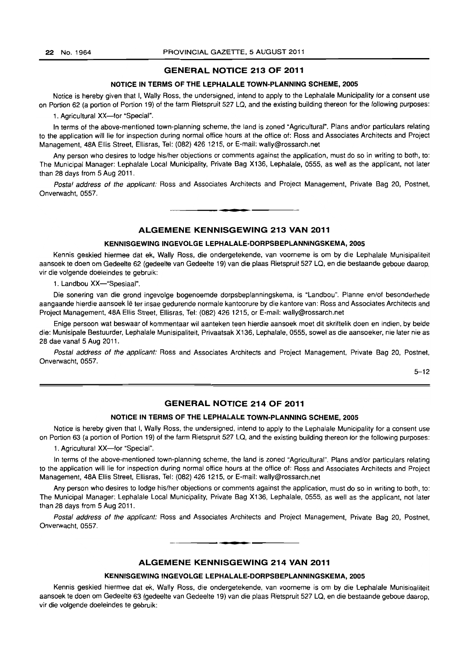#### **GENERAL NOTICE 213 OF 2011**

#### **NOTICE IN TERMS OF THE LEPHALALE TOWN-PLANNING SCHEME, 2005**

Notice is hereby given that I, Wally Ross, the undersigned, intend to apply to the Lephalale Municipality for a consent use on Portion 62 (a portion of Portion 19) of the farm Rietspruit 527 LQ, and the existing building thereon for the following purposes:

1. Agricultural XX-for "Special".

In terms of the above-mentioned town-planning scheme, the land is zoned "Agricultural". Plans and/or particulars relating to the application will lie for inspection during normal office hours at the office of: Ross and Associates Architects and Project Management, 48A Ellis Street, Ellisras, Tel: (082) 4261215, or E-mail: wally@rossarch.net

Any person who desires to lodge his/her objections or comments against the application, must do so in writing to both, to: The Municipal Manager: Lephalale Local Municipality, Private Bag X136, Lephalale, 0555, as well as the applicant, not later than 28 days from 5 Aug 2011.

Postal address of the applicant: Ross and Associates Architects and Project Management, Private Bag 20, Postnet, Onverwacht, 0557.

**•** 

#### **ALGEMENE KENNISGEWING 213 VAN 2011**

#### **KENNISGEWING INGEVOLGE LEPHALALE-DORPSBEPLANNINGSKEMA, 2005**

Kennis geskied hiermee dat ek, Wally Ross, die ondergetekende, van voorneme is om by die Lephalale Munisipaliteit aansoek te doen om Gedeelte 62 (gedeelte van Gedeelte 19) van die plaas Rietspruit 527 LQ, en die bestaande geboue daarop, vir die volgende doeleindes te gebruik:

1. Landbou XX-"Spesiaal".

Die sonering van die grond ingevolge bogenoemde dorpsbeplanningskema, is "Landbou". Planne en/of besonderhede aangaande hierdie aansoek lê ter insae gedurende normale kantoorure by die kantore van: Ross and Associates Architects and Project Management, 48A Ellis Street, Ellisras, Tel: (082) 426 1215, or E-mail: wally@rossarch.net

Enige persoon wat beswaar of kommenlaar wit aanteken teen hierdie aansoek moet dit skriftelik doen en indien, by beide die: Munisipale Bestuurder, Lephalale Munisipaliteit, Privaatsak X136, Lephalale, 0555, sowel as die aansoeker, nie later nie as 28 dae vanaf 5 Aug 2011.

Postal address of the applicant: Ross and Associates Architects and Project Management, Private Bag 20, Postnet, Onverwacht, 0557.

 $5 - 12$ 

#### **GENERAL NOTICE 214 OF 2011**

#### **NOTICE IN TERMS OF THE LEPHALALE TOWN-PLANNING SCHEME, 2005**

Notice is hereby given that I, Wally Ross, the undersigned, intend to apply to the Lephalale Municipality for a consent use on Portion 63 (a portion of Portion 19) of the farm Rietspruit 527 LQ, and the existing building thereon for the following purposes:

1. Agricultural XX-for "Special".

In terms of the above-mentioned town-planning scheme, the land is zoned "Agricultural". Plans and/or particulars relating to the application will lie for inspection during normal office hours at the office of: Ross and Associates Architects and Project Management, 48A Ellis Street, Ellisras, Tel: (082) 426 1215, or E-mail: waUy@rossarch.net

Any person who desires to lodge his/her objections or comments against the application, must do so in writing to both, to: The Municipal Manager: Lephalale Local Municipality, Private Bag X136, Lephalale, 0555, as well as the applicant, not later than 28 days from 5 Aug 2011.

Postal address of the applicant: Ross and Associates Architects and Project Management, Private Bag 20, Postnet, Onverwacht, 0557.

#### **ALGEMENE KENNISGEWING 214 VAN 2011**

**• I** 

#### **KENNISGEWING INGEVOLGE LEPHALALE-DORPSBEPLANNINGSKEMA, 2005**

Kennis geskied hiermee dat ek, Wally Ross, die ondergetekende, van voorneme is om by die Lephalale Munisipaliteit aansoek te doen om Gedeelte 63 (gedeelte van Gedeelte 19) van die plaas Rietspruit 527 LQ, en die bestaande geboue daarop, vir die volgende doeleindes te gebruik: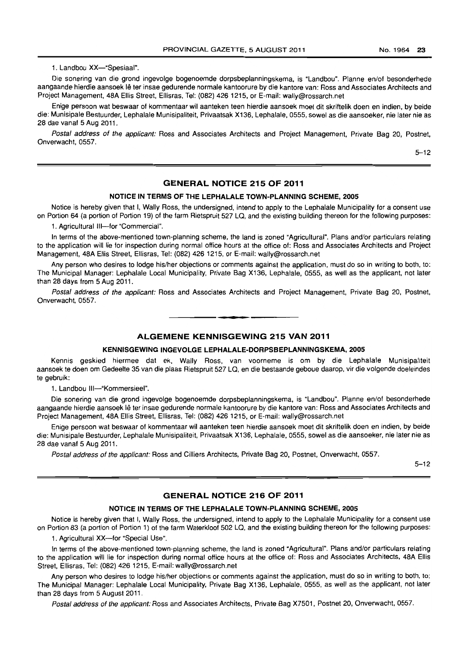1. Landbou XX-"Spesiaal".

Die sonering van die grond ingevolge bogenoemde dorpsbeplanningskema, is "Landbou". Planne en/of besonderhede aangaande hierdie aansoek lê ter insae gedurende normale kantoorure by die kantore van: Ross and Associates Architects and Project Management, 48A Ellis Street, Ellisras, Tel: (082) 426 1215, or E-mail: wally@rossarch.net

Enige persoon wat beswaar of kommentaar wil aanteken teen hierdie aansoek moet dit skriftelik doen en indien, by beide die: Munisipale Bestuurder, Lephalale Munisipaliteit, Privaatsak X136, Lephalale, 0555, sowel as die aansoeker, nie later nie as 28 dae vanaf 5 Aug 2011.

Postal address of the applicant: Ross and Associates Architects and Project Management, Private Bag 20, Postnet, Onverwacht, 0557.

5-12

# **GENERAL NOTICE 215 OF 2011**

#### **NOTICE IN TERMS OF THE LEPHALALE TOWN-PLANNING SCHEME, 2005**

Notice is hereby given that I, Wally Ross, the undersigned, intend to apply to the Lephalale Municipality for a consent use on Portion 64 (a portion of Portion 19) of the farm Rietspruit 527 LQ, and the existing building thereon for the following purposes:

1. Agricultural III-for "Commercial".

In terms of the above-mentioned town-planning scheme, the land is zoned "Agricultural". Plans and/or particulars relating to the application will lie for inspection during normal office hours at the office of: Ross and Associates Architects and Project Management, 48A Ellis Street, Ellisras, Tel: (082) 426 1215, or E-mail: wally@rossarch.net

Any person who desires to lodge his/her objections or comments against the application, must do so in writing to both, to: The Municipal Manager: Lephalale Local Municipality, Private Bag X136, Lephalale, 0555, as well as the applicant, not later than 28 days from 5 Aug 2011.

Postal address of the applicant: Ross and Associates Architects and Project Management, Private Bag 20, Postnet, Onverwacht. 0557. . **-.** 

#### **ALGEMENE KENNISGEWING 215 VAN 2011**

#### **KENNISGEWING INGEVOLGE LEPHALALE-DORPSBEPLANNINGSKEMA, 2005**

Kennis geskied hiermee dat ek, Wally Ross. van voorneme is om by die Lephalale Munisipaliteit aansoek te doen om Gedeelte 35 van die plaas Rietspruit 527 LQ, en die bestaande geboue daarop, vir die volgende doeleindes te gebruik:

1. Landbou III-"Kommersieel".

Die sonering van die grond ingevolge bogenoemde dorpsbeplanningskema, is "Landbou". Planne en/of besonderhede aangaande hierdie aansoek Ie ter insae gedurende normale kantoorure by die kantore van: Ross and Associates Architects and Project Management. 48A Ellis Street, Ellisras, Tel: (082) 426 1215, or E-mail: wally@rossarch.net

Enige persoon wat beswaar of kommentaar wil aanteken teen hierdie aansoek moet dit skriftelik doen en indien, by beide die: Munisipale Bestuurder, Lephalale Munisipaliteit, Privaatsak X136, Lephalale, 0555, sowel as die aansoeker, nie later nie as 28 dae vanaf 5 Aug 2011.

Postal address of the applicant: Ross and Cilliers Architects, Private Bag 20, Postnet, Onverwacht, 0557.

 $5 - 12$ 

#### **GENERAL NOTICE 216 OF 2011**

#### **NOTICE IN TERMS OF THE LEPHALALE TOWN-PLANNING SCHEME, 2005**

Notice is hereby given that I, Wally Ross, the undersigned, intend to apply to the Lephalale Municipality for a consent use on Portion 83 (a portion of Portion 1) of the farm Waterkloof 502 LQ, and the existing building thereon for the following purposes:

1. Agricultural XX-for "Special Use".

In terms of the above-mentioned town-planning scheme, the land is zoned "Agricultural". Plans and/or particulars relating to the application will lie for inspection during normal office hours at the office of: Ross and Associates Architects, 48A Ellis Street. Ellisras, Tel: (082) 426 1215, E-mail: wally@rossarch.net

Any person who desires to lodge his/her objections or comments against the application, must do so in writing to both, to: The Municipal Manager: Lephalale Local Municipality, Private Bag X136, Lephalale, 0555, as well as the applicant, not later than 28 days from 5 August 2011.

Postal address of the applicant: Ross and Associates Architects. Private Bag X7501, Postnet 20, Onverwacht, 0557.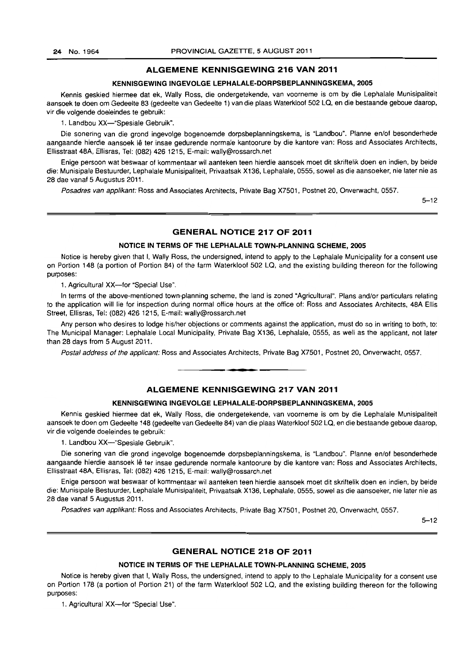#### **ALGEMENE KENNISGEWING 216 VAN 2011**

#### **KENNISGEWING INGEVOLGE LEPHALALE-DORPSBEPLANNINGSKEMA, 2005**

Kennis geskied hiermee dat ek, Wally Ross, die ondergetekende, van voorneme is om by die Lephalale Munisipaliteit aansoek te doen om Gedeelte 83 (gedeelte van Gedeelte 1) van die plaas Waterkloof 502 LQ, en die bestaande geboue daarop, vir die volgende doeleindes te gebruik:

1. Landbou XX-"Spesiale Gebruik".

Die sonering van die grond ingevolge bogenoemde dorpsbeplanningskema, is "Landbou". Planne en/of besonderhede aangaande hierdie aansoek Ie ter insae gedurende normale kantoorure by die kantore van: Ross and Associates Architects, Ellisstraat 48A, Ellisras, Tel: (082) 426 1215, E-mail: wally@rossarch.net

Enige persoon wat beswaar of kommentaar wi! aanteken teen hierdie aansoek moet dit skriftelik doen en indien, by beide die: Munisipale Bestuurder, Lephalale Munisipaliteit, Privaatsak X136, Lephalale, 0555, sowel as die aansoeker, nie later nie as 28 dae vanaf 5 Augustus 2011.

Posadres van applikant: Ross and Associates Architects, Private Bag X7501, Postnet 20, Onverwacht, 0557.

 $5 - 12$ 

#### **GENERAL NOTICE 217 OF 2011**

#### **NOTICE IN TERMS OF THE LEPHALALE TOWN-PLANNING SCHEME, 2005**

Notice is hereby given that I, Wally Ross, the undersigned, intend to apply to the Lephalale Municipality for a consent use on Portion 148 (a portion of Portion 84) of the farm Waterkloof 502 LQ, and the existing building thereon for the following purposes:

1. Agricultural XX--for "Special Use".

In terms of the above-mentioned town-planning scheme, the land is zoned "Agricultural". Plans and/or particulars relating to the application will lie for inspection during normal office hours at the office of: Ross and Associates Architects, 48A Ellis Street, Ellisras, Tel: (082) 426 1215, E-mail: wally@rossarch.net

Any person who desires to lodge his/her objections or comments against the application, must do so in writing to both, to: The Municipal Manager: Lephalale Local Municipality, Private Bag X136, Lephalale, 0555, as well as the applicant, not later than 28 days from 5 August 2011.

Postal address of the applicant: Ross and Associates Architects, Private Bag X7501, Postnet 20, Onverwacht, 0557,

#### **ALGEMENE KENNISGEWING 217 VAN 2011**

**•** 

#### **KENNISGEWING INGEVOLGE LEPHALALE-DORPSBEPLANNINGSKEMA, 2005**

Kennis geskied hiermee dat ek, Wally Ross, die ondergetekende, van voorneme is om by die Lephalale Munisipaliteit aansoek te doen om Gedeelte 148 (gedeelte van Gedeelte 84) van die plaas Waterkloof 502 La, en die bestaande geboue daarop, vir die volgende doeleindes te gebruik:

1. Landbou XX--"Spesiale Gebruik".

Die sanering van die grand ingevolge bogenoemde dorpsbeplanningskema, is "Landbou". Planne en/of besonderhede aangaande hierdie aansoek lê ter insae gedurende normale kantoorure by die kantore van: Ross and Associates Architects, Ellisstraat 48A, Ellisras, Tel: (082) 426 1215, E-mail: wally@rossarch.net

Enige persoon wat beswaar of kommentaar wil aanteken teen hierdie aansoek moet dit skriftelik doen en indien, by beide die: Munisipale Bestuurder, Lephalale Munisipaliteit, Privaatsak X136, Lephalale, 0555, sowel as die aansoeker, nie later nie as 28 dae vanaf 5 Augustus 2011.

Posadres van applikant: Ross and Associates Architects, Private Bag X7501, Postnet 20, Onverwacht, 0557.

 $5 - 12$ 

#### **GENERAL NOTICE 218 OF 2011**

#### **NOTICE IN TERMS OF THE LEPHALAlE TOWN-PLANNING SCHEME, 2005**

Notice is hereby given that I, Wally Ross, the undersigned, intend to apply to the Lephalale Municipality for a consent use on Portion 178 (a portion of Portion 21) of the farm Waterkloof 502 LQ, and the existing building thereon for the following purposes:

1. Agricultural XX-for "Special Use".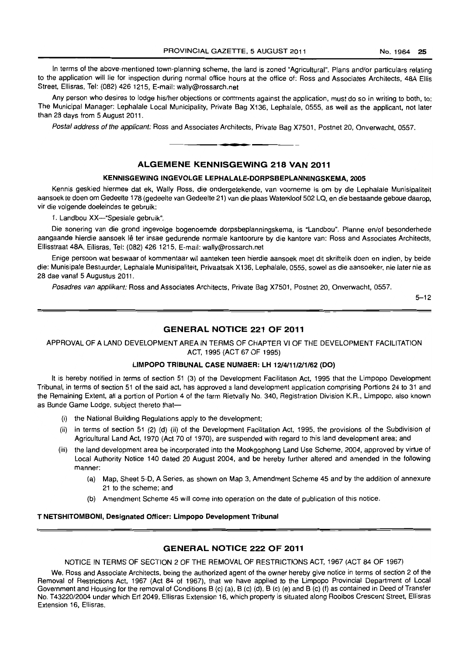In terms of the above-mentioned town-planning scheme, the land is zoned "Agricultural". Plans and/or particulars relating to the application will lie for inspection during normal office hours at the office of: Ross and Associates Architects, 48A Ellis Street. Ellisras, Tel: (082) 426 1215, E-mail: wally@rossarch.net

Any person who desires to lodge his/her objections or comments against the application, must do so in writing to both, to: The Municipal Manager: Lephalale Local Municipality, Private Bag X136, Lephalale, 0555. as well as the applicant, not later than 28 days from 5 August 2011.

Postal address of the applicant: Ross and Associates Architects. Private Bag X7501. Postnet 20, Onverwacht, 0557 .

**•** 

#### ALGEMENE KENNISGEWING 218 VAN 2011

#### KENNISGEWING INGEVOLGE LEPHALALE-DORPSBEPLANNINGSKEMA. 2005

Kennis geskied hiermee dat ek, Wally Ross, die ondergetekende, van voorneme is om by die Lephalale Munisipaliteit aansoek te doen om Gedeelte 178 (gedeelte van Gedeelte 21) van die plaas Waterkloof 502 LQ, en die bestaande geboue daarop. vir die volgende doeleindes te gebruik:

1. Landbou XX-"Spesiale gebruik".

Die sonering van die grond ingevolge bogenoemde dorpsbeplanningskema, is "Landbou". Planne en/of besonderhede aangaande hierdie aansoek lê ter insae gedurende normale kantoorure by die kantore van: Ross and Associates Architects, Ellisstraat 48A, Ellisras, Tel: (082) 426 1215, E-mail: wally@rossarch.net

Enige persoon wat beswaar of kommentaar wil aanteken teen hierdie aansoek moet dit skriftelik doen en indien, by beide die: Munisipale Bestuurder, Lephalale Munisipaliteit, Privaatsak X136, Lephalale, 0555, sowel as die aansoeker, nie later nie as 28 dae vanaf 5 Augustus 2011.

Posadres van applikant: Ross and Associates Architects, Private Bag X7501, Postnet 20, Onverwacht, 0557.

 $5 - 12$ 

#### GENERAL NOTICE 221 OF 2011

APPROVAL OF A LAND DEVELOPMENT AREA IN TERMS OF CHAPTER VI OF THE DEVELOPMENT FACILITATION ACT, 1995 (ACT 67 OF 1995)

#### I.IMPOPO TRIBUNAL CASE NUMBER: LH *1214111/211/62* (DO)

It is hereby notified in terms of section 51 (3) of the Development Facilitation Act, 1995 that the Limpopo Development Tribunal, in terms of section 51 of the said act, has approved a land development application comprising Portions 24 to 31 and the Remaining Extent, all a portion of Portion 4 of the farm Rietvally No. 340, Registration Division K.R., Limpopo, also known as Bunde Game Lodge, subject thereto that-

- (i) the National Building Regulations apply to the development;
- (ii) in terms of section 51 (2) (d) (ii) of the Development Facilitation Act, 1995, the provisions of the Subdivision of Agricultural Land Act, 1970 (Act 70 of 1970), are suspended with regard to this land development area; and
- (iii) the land development area be incorporated into the Mookgophong Land Use Scheme, 2004, approved by virtue of Local Authority Notice 140 dated 20 August 2004, and be hereby further altered and amended in the following manner;
	- (a) Map, Sheet 5-D, A Series, as shown on Map 3, Amendment Scheme 45 and by the addition of annexure 21 to the scheme; and
	- (b) Amendment Scheme 45 will come into operation on the date of publication of this notice.

#### T NETSHITOMBONI, DeSignated Officer: Limpopo Development Tribunal

#### GENERAL NOTICE 222 OF 2011

NOTICE IN TERMS OF SECTION 2 OF THE REMOVAL OF RESTRICTIONS ACT, 1967 (ACT 84 OF 1967)

We, Ross and Associate Architects, being the authorized agent of the owner hereby give notice in terms of section 2 of the Removal of Restrictions Act, 1967 (Act 84 of 1967), that we have applied to the Limpopo Provincial Department of Local Government and Housing for the removal of Conditions B (c) (a), B (c) (d). B (c) (e) and B (c) (f) as contained in Deed of Transfer No. T43220/2004 under which Ert 2049, Ellisras Extension 16. which property is situated along Rooibos Crescent Street, Ellisras Extension 16, Ellisras.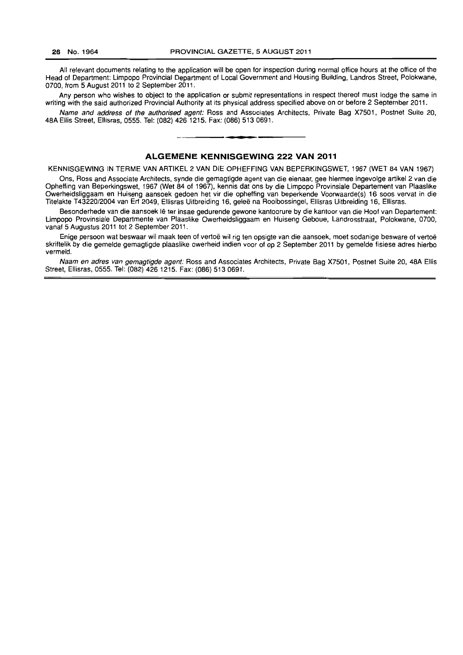All relevant documents relating to the application will be open for inspection during normal office hours at the office of the Head of Department: Limpopo Provincial Department of Local Government and Housing Building, Landros Street, Polokwane, 0700, from 5 August 2011 to 2 September 2011.

Any person who wishes to object to the application or submit representations in respect thereof must lodge the same in writing with the said authorized Provincial Authority at its physical address specified above on or before 2 September 2011.

Name and address of the authorised agent: Ross and Associates Architects, Private Bag X7501. Postnet Suite 20, 48A Ellis Street, Ellisras, 0555. Tel: (082) 426 1215. Fax: (086) 513 0691 . . **- .** 

#### **ALGEMENE KENNISGEWING 222 VAN 2011**

KENNISGEWING IN TERME VAN ARTIKEL 2 VAN DIE OPHEFFING VAN BEPERKINGSWET, 1967 (WET 84 VAN 1967)

Ons, Ross and Associate Architects, synde die gemagtigde agent van die eienaar, gee hiermee ingevolge artikel 2 van die Opheffing van Beperkingswet, 1967 (Wet 84 of 1967). kennis dat ons by die Limpopo Provinsiale Departement van Plaaslike Owerheidsliggaam en Huiseng aansoek gedoen het vir die opheffing van beperkende Voorwaarde(s) 16 5005 vervat in die Titelakte T43220/2004 van Erf 2049, Ellisras Uitbreiding 16, geleë na Rooibossingel, Ellisras Uitbreiding 16, Ellisras.

Besonderhede van die aansoek lê ter insae gedurende gewone kantoorure by die kantoor van die Hoof van Departement: Limpopo Provinsiale Departmente van Plaaslike Owerheidsliggaam en Huiseng Geboue, Landrosstraat, Polokwane, 0700, vanaf 5 Augustus 2011 tot 2 September 2011.

Enige persoon wat beswaar wil maak teen of vertoë wil rig ten opsigte van die aansoek, moet sodanige besware of vertoë skriftelik by die gemelde gemagtigde plaaslike owerheid indien voor of op 2 September 2011 by gemelde fisiese adres hierbo vermeld.

Naam en adres van gemagtigde agent: Ross and Associates Architects, Private Bag X7501, Postnet Suite 20, 48A Ellis Street. Ellisras, 0555. Tel: (082) 426 1215. Fax: (086) 513 0691.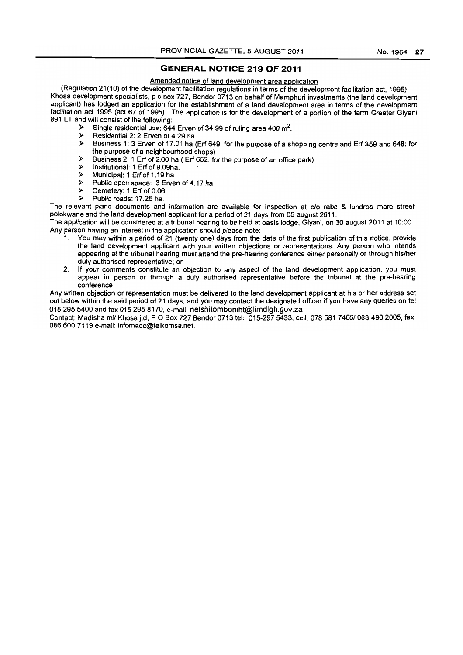#### **GENERAL NOTICE 219 OF 2011**

#### Amended notice of land development area application

(Regulation 21(10) of the development facilitation regulations in terms of the development facilitation act, 1995) Khosa development specialists, p o box 727, Bendor 0713 on behalf of Mamphuri investments (the land development applicant) has lodged an application for the establishment of a land development area in terms of the development facilitation act 1995 (act 67 of 1995). The application is for the development of a portion of the farm Greater Giyani 891 LT and will consist of the following:<br>Single residential use: 644

- $\triangleright$  Single residential use: 644 Erven of 34.99 of ruling area 400 m<sup>2</sup>.
- $\triangleright$  Residential 2: 2 Erven of 4.29 ha.
- » Business 1: 3 Erven of 17.01 ha (Erf 649: for the purpose of a shopping centre and Erf 359 and 648: for the purpose of a neighbourhood shops)
- $\triangleright$  Business 2: 1 Erf of 2.00 ha ( Erf 652: for the purpose of an office park)<br>  $\triangleright$  Institutional: 1 Erf of 9.09ba
- $\triangleright$  Institutional: 1 Erf of 9.09ha.<br>  $\triangleright$  Municipal: 1 Erf of 1 19 has
- $\triangleright$  Municipal: 1 Erf of 1.19 ha
- $\geq$  Public open space: 3 Erven of 4.17 ha.<br>  $\geq$  Cemetery: 1 Erf of 0.06
- $\triangleright$  Cemetery: 1 Erf of 0.06.
- » Public roads: 17.26 ha.

The relevant plans documents and information are available for inspection at c/o rabe & landros mare street, polokwane and the land development applicant for a period of 21 days from 05 august 2011.

The application will be considered at a tribunal hearing to be held at oasis lodge, Giyani, on 30 august 2011 at 10:00. Any person having an interest in the application should please note:

- 1. You may within a period of 21 (twenty one) days from the date of the first publication of this notice, provide the land development applicant with your written objections or representations. Any person who intends appearing at the tribunal hearing must attend the pre-hearing conference either personally or through hislher duly authorised representative; or
- 2. If your comments constitute an objection to any aspect of the land development application. you must appear in person or through a duly authorised representative before the tribunal at the pre-hearing conference.

Any written objection or representation must be delivered to the land development applicant at his or her address set out below within the said period of 21 days, and you may contact the designated officer if you have any queries on tel 0152955400 and fax 015 2958170. e-mail: netshitomboniht@limdlgh.gov.za

Contact: Madisha mi/ Khosa j.d, P O Box 727 Bendor 0713 tel: 015-297 5433, cell: 078 581 7466/083 490 2005, fax: 086 600 7119 e-mail: infomadc@telkomsa.net.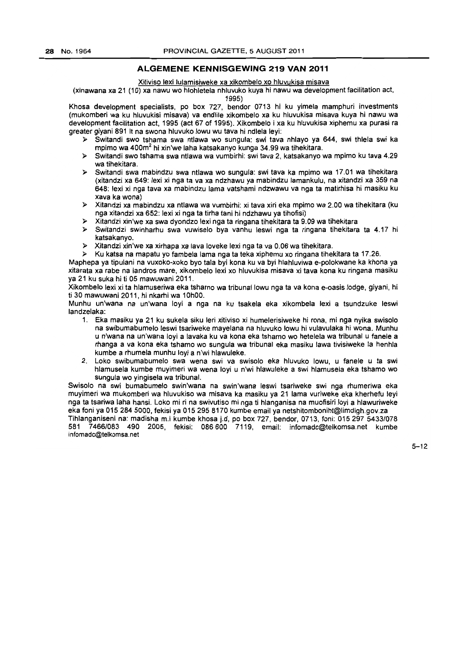#### **ALGEMENE KENNISGEWING** 219 **VAN 2011**

#### Xitiviso lexi lulamisiweke xa xikombelo xo hluvukisa misava

(xinawana xa 21 (10) xa nawu wo hlohletela nhluvuko kuya hi nawu wa development facilitation act,

1995)

Khosa development specialists, po box 727, bendor 0713 hi ku yimela mamphuri investments (mukomberi wa ku hluvukisi misava) va endlile xikombelo xa ku hluvukisa misava kuya hi nawu wa development facilitation act, 1995 (act 67 of 1995). Xikombelo i xa ku hluvukisa xiphemu xa purasi ra greater giyani 891 It na swona hluvuko lowu wu tava hi ndlela leyi:

- » Switandi swo tshama swa ntlawa wo sungula: swi tava nhlayo ya 644, swi thlela swi ka mpimo wa 400m2 hi xin'we laha katsakanyo kunga 34.99 wa tihekitara.
- » Switandi swo tshama swa ntlawa wa vumbirhi: swi tava 2, katsakanyo wa mpimo ku tava 4.29 wa tihekitara.
- » Switandi swa mabindzu swa ntlawa wo sungula: swi tava ka mpimo wa 17.01 wa tihekitara (xitandzi xa 649: lexi xi nga ta va xa ndzhawu ya mabindzu lamankulu, na xitandzi xa 359 na 648: lexi xi nga tava xa mabindzu lama vatshami ndzwawu va nga ta matirhisa hi masiku ku xava ka wona)
- » Xitandzi xa mabindzu xa ntlawa wa vumbirhi: xi tava xiri eka mpimo wa 2.00 wa tihekitara (ku nga xitandzi xa 652: lexi xi nga ta tirha tani hi ndzhawu ya tihofisi)
- » Xitandzi xin'we xa swa dyondzo lexi nga ta ringana tihekitara ta 9.09 wa tihekitara
- » Switandzi swinharhu swa vuwiselo bya vanhu leswi nga ta ringana tihekitara ta 4.17 hi katsakanyo.
- » Xitandzi xin'we xa xirhapa xa lava loveke lexi nga ta va 0.06 wa tihekitara.
- » Ku katsa na mapatu yo fambela lama nga ta teka xiphemu xo ringana tihekitara ta 17.26.

Maphepa ya tipulani na vuxoko-xoko bye tala byi kona ku va byi hlahluviwa e-polokwane ka khona ya xitarata xa rabe na landros mare, xikombelo lexi xo hluvukisa misava xi tava kona ku ringana masiku ya 21 ku suka hi ti 05 mawuwani 2011.

Xikombelo lexi xi ta hlamuseriwa eka tshamo wa tribunallowu nga ta va kona e-oasis lodge, giyani, hi ti 30 mawuwani 2011, hi nkarhi wa 10hOO.

Munhu un'wana na un'wana loyi a nga na ku tsakela eka xikombela lexi a tsundzuke leswi landzelaka:

- 1. Eka masiku ya 21 ku sukela siku leri xitiviso xi humelerisiweke hi rona, mi nga nyika swisolo na swibumabumelo leswi tsariweke mayelana na hluvuko lowu hi vulavulaka hi wona. Munhu u n'wana na un'wana loyi a lavaka ku va kona eka tshamo wo hetelela wa tribunal u fanele a rhanga a va kona eka tshamo wo sungula wa tribunal eka masiku lawa tivisiweke la henhla kumbe a rhumela munhu loyi a n'wi hlawuleke.
- 2. Loko swibumabumelo swa wena swi va swisolo eka hluvuko lowu, u fanele u ta swi hlamusela kumbe muyimeri wa wena loyi u n'wi hlawuleke a swi hlamusela eka tshamo wo sungula wo yingisela wa tribunal.

Swisolo na swi bumabumelo swin'wana na swin'wana leswi tsariweke swi nga rhumeriwa eka muyimeri wa mukomberi wa hluvukiso wa misava ka masiku ya 21 lama vuriweke eka kherhefu leyi nga ta tsariwa laha hansi. Loko mi ri na swivutiso mi nga ti hlanganisa na muofisiri loyi a hlawuriweke eka foni ya 0152845000, fekisi ya 015 2958170 kumbe email yanetshitomboniht@limdlgh.gov.za Tihlanganiseni na: madisha m.i kumbe khosa j.d, po box 727, bendor, 0713, foni: 015 297 *5433/078 581 7466/083* 490 2005, fekisi: 086600 7119, email: infomadc@telkomsa.net kumbe i nfomadC@telkomsa.net

 $5 - 12$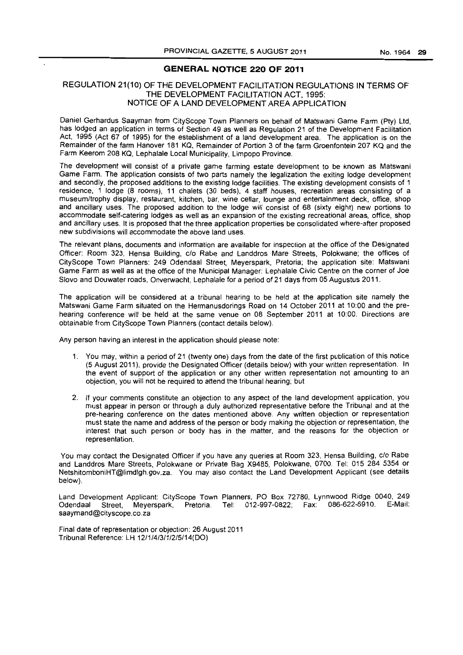#### **GENERAL NOTICE 220 OF 2011**

#### REGULATION 21(10) OF THE DEVELOPMENT FACILITATION REGULATIONS IN TERMS OF THE DEVELOPMENT FACILITATION ACT, 1995: NOTICE OF A LAND DEVELOPMENT AREA APPLICATION

Daniel Gerhardus Saayman from CityScope Town Planners on behalf of Matswani Game Farm (pty) Ltd, has lodged an application in terms of Section 49 as well as Regulation 21 of the Development Facilitation Act, 1995 (Act 67 of 1995) for the establishment of a land development area. The application is on the Remainder of the farm Hanover 181 KQ, Remainder of Portion 3 of the farm Groenfontein 207 KQ and the Farm Keerom 208 KQ, Lephalale Local Municipality, limpopo Province.

The development will consist of a private game farming estate development to be known as Matswani Game Farm. The application consists of two parts namely the legalization the exiting lodge development and secondly, the proposed additions to the existing lodge facilities. The existing development consists of 1 residence, 1 lodge (8 rooms), 11 chalets (30 beds), 4 staff houses, recreation areas consisting of a museum/trophy display, restaurant, kitchen, bar, wine cellar, lounge and entertainment deck, office, shop and ancillary uses. The proposed addition to the lodge will consist of 68 (sixty eight) new portions to accommodate self-catering lodges as well as an expansion of the existing recreational areas, office, shop and ancillary uses. It is proposed that the three application properties be consolidated where-after proposed new subdivisions will accommodate the above land uses.

The relevant plans, documents and information are available for inspection at the office of the Designated Officer: Room 323, Hensa Building, c/o Rabe and Landdros Mare Streets, Polokwane; the offices of CityScope Town Planners: 249 Odendaal Street, Meyerspark, Pretoria; the application site: Matswani Game Farm as well as at the office of the Municipal Manager: Lephalale Civic Centre on the corner of Joe Siovo and Douwater roads, Onverwacht, Lephalale for a period of 21 days from 05 Augustus 2011.

The application will be considered at a tribunal hearing to be held at the application site namely the Matswani Game Farm situated on the Hermanusdorings Road on 14 October 2011 at 10:00 and the prehearing conference will be held at the same venue on 08 September 2011 at 10:00. Directions are obtainable from CityScope Town Planners (contact details below).

Any person having an interest in the application should please note:

- 1. You may, within a period of 21 (twenty one) days from the date of the first publication of this notice (5 August 2011), provide the Designated Officer (details below) with your written representation. In the event of support of the application or any other written representation not amounting to an objection, you will not be required to attend the tribunal hearing; but
- 2. If your comments constitute an objection to any aspect of the land development application, you must appear in person or through a duly authorized representative before the Tribunal and at the pre-hearing conference on the dates mentioned above. Any written objection or representation must state the name and address of the person or body making the objection or representation, the interest that such person or body has in the matter, and the reasons for the objection or representation.

You may contact the Designated Officer if you have any queries at Room 323, Hensa Building, clo Rabe and Landdros Mare Streets, Polokwane or Private Bag X9485, Polokwane, 0700. Tel: 015 284 5354 or NetshitomboniHT@limdlgh.gov.za. You may also contact the Land Development Applicant (see details below).

Land Development Applicant: CityScope Town Planners, PO Box 72780, Lynnwood Ridge 0040, 249<br>Odendaal Street Meverspark, Pretoria, Tel: 012-997-0822: Eax: 086-622-6910, E-Mail: Odendaal Street, Meyerspark, Pretoria. Tel: 012-997-0822; Fax: 086-622-6910. saaymand@cityscope.co.za

Final date of representation or objection: 26 August 2011 Tribunal Reference: LH 12/1/4/3/1/2/5/14(DO)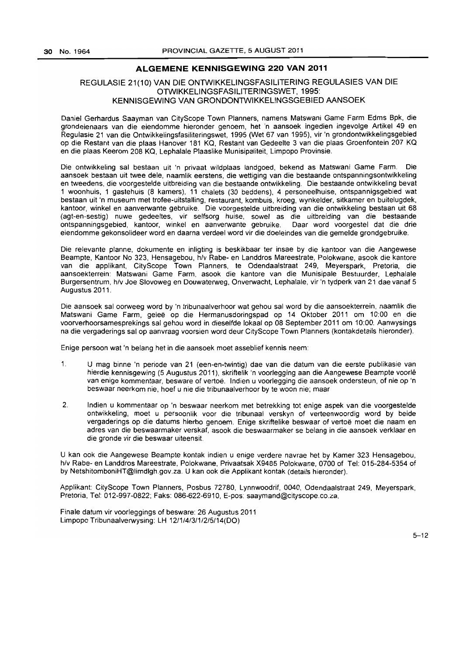#### **ALGEMENE KENNISGEWING 220 VAN 2011**

# REGULASIE 21(10) VAN DIE ONTWIKKELlNGSFASILITERING REGULASIES VAN DIE OTWIKKELlNGSFASILITERINGSWET,1995: KENNISGEWING VAN GRONDONTWIKKELINGSGEBIED AANSOEK

Daniel Gerhardus Saayman van CityScope Town Planners, namens Matswani Game Farm Edms Bpk, die grondeienaars van die eiendomme hieronder genoem, het 'n aansoek ingedien ingevolge Artikel 49 en Regulasie 21 van die Ontwikkelingsfasiliteringswet, 1995 (Wet 67 van 1995), vir 'n grondontwikkelingsgebied op die Restant van die plaas Hanover 181 KQ, Restant van Gedeelte 3 van die plaas Groenfontein 207 KQ en die plaas Keerom 208 KQ, Lephalale Plaaslike Munisipaliteit, Limpopo Provinsie.

Die ontwikkeiing sal bestaan uit 'n privaat wildplaas landgoed, bekend as Matswani Game Farm. Die aansoek bestaan uit twee dele, naamlik eerstens, die wettiging van die bestaande ontspanningsontwikkeling en tweedens, die voorgestelde uitbreiding van die bestaande ontwikkeling. Die bestaande ontwikkeling bevat 1 woonhuis, 1 gastehuis (8 kamers), 11 chalets (30 beddens). 4 personeelhuise, ontspannigsgebied wat bestaan uit 'n museum met trofee-uitstalling, restaurant, kombuis. kroeg, wynkelder, sitkamer en buitelugdek, kantoor, winkel en aanverwante gebruike. Die voorgestelde uitbreiding van die ontwikkeling bestaan uit 68 (agt-en-sestig) nuwe gedeeltes. vir selfsorg huise, sowel as die uitbreiding van die bestaande ontspanningsgebied, kantoor, winkel en aanverwante gebruike. Daar word voorgestel dat die drie eiendomme gekonsolideer word en daarna verdeel word vir die doeleindes van die gemelde grondgebruike.

Die relevante planne, dokumente en inligting is beskikbaar ter insae by die kantoor van die Aangewese Beampte, Kantoor No 323, Hensagebou, h/v Rabe- en Landdros Mareestrate, Polokwane. asook die kantore van die applikant, CityScope Town Planners, te Odendaalstraat 249, Meyerspark, Pretoria, die aansoekterrein: Matswani Game Farm, asook die kantore van die Munisipale Bestuurder, Lephalale Burgersentrum, h/v Joe Siovoweg en Douwaterweg, Onverwacht, Lephalale, vir 'n tydperk van 21 dae vanaf 5 Augustus 2011.

Die aansoek sal oorweeg word by 'n tribunaalverhoor wat gehou sal word by die aansoekterrein. naamlik die Matswani Game Farm. gelee op die Hermanusdoringspad op 14 Oktober 2011 om 10:00 en die voorverhoorsamesprekings sal gehou word in dieselfde lokaal op 08 September 2011 om 10:00. Aanwysings na die vergaderings salop aanvraag voorsien word deur CityScope Town Planners (kontakdetails hieronder).

Enige persoon wat 'n belang het in die aansoek moet asseblief kennis neem:

- 1. U mag binne 'n periode van 21 (een-en-twintig) dae van die datum van die eerste publikasie van hierdie kennisgewing (5 Augustus 2011), skriftelik 'n voorlegging aan die Aangewese Beampte voorlê van enige kommentaar, besware of vertoe. Indien u voorlegging die aansoek ondersteun, of nie op 'n beswaar neerkom nie, hoef u nie die tribunaalverhoor by te woon nie; maar
- 2. Indien u kommentaar op 'n beswaar neerkom met betrekking tot enige aspek van die voorgestelde ontwikkeling, moet u persoonlik voor die tribunaal verskyn of verteenwoordig word by beide vergaderings op die datums hierbo genoem. Enige skriftelike beswaar of vertoe moet die naam en adres van die beswaarmaker verskaf, asook die beswaarmaker se belang in die aansoek verklaar en die gronde vir die beswaar uiteensit.

U kan ook die Aangewese Beampte kontak indien u enige verdere navrae het by Kamer 323 Hensagebou, h/v Rabe- en Landdros Mareestrate, Polokwane, Privaatsak X9485 Polokwane, 0700 of Tel: 015-284-5354 of by NetshitomboniHT@limdlgh.gov.za. U kan oak die Applikant kontak (details hieronder).

Applikant: CityScope Town Planners, Posbus 72780, Lynnwoodrif, 0040, Odendaalstraat 249, Meyerspark, Pretoria, Tel: 012-997-0822; Faks: 086-622-6910, E-pos: saaymand@cityscope.co.za.

Finale datum vir voorleggings of besware: 26 Augustus 2011 Limpopo Tribunaalverwysing: LH 12/1/4/3/1/2/5/14(00)

 $5 - 12$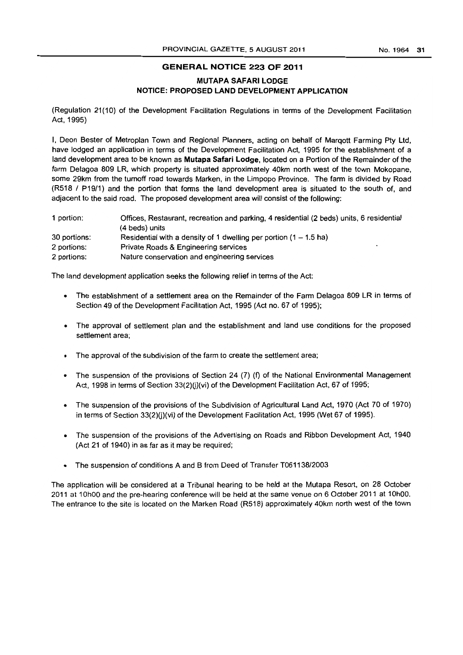#### No.1964 **31**

# **GENERAL NOTICE 223 OF 2011**

#### **MUTAPA SAFARI LODGE NOTICE: PROPOSED LAND DEVELOPMENT APPLICATION**

(Regulation 21(10) of the Development Facilitation Regulations in terms of the Development Facilitation Act, 1995)

I, Deon Bester of Metroplan Town and Regional Planners, acting on behalf of Marqott Farming pty Ltd, have lodged an application in terms of the Development Facilitation Act, 1995 for the establishment of a land development area to be known as **Mutapa Safari Lodge,** located on a Portion of the Remainder of the fann Delagoa 809 LR, which property is situated approximately 40km north west of the town Mokopane, some 29km from the turnoff road towards Marken, in the Limpopo Province. The fann is divided by Road (R518 I P19/1) and the portion that fonns the land development area is situated to the south of, and adjacent to the said road. The proposed development area will consist of the following:

| 1 portion:   | Offices, Restaurant, recreation and parking, 4 residential (2 beds) units, 6 residential |  |  |  |
|--------------|------------------------------------------------------------------------------------------|--|--|--|
|              | (4 beds) units                                                                           |  |  |  |
| 30 portions: | Residential with a density of 1 dwelling per portion $(1 – 1.5)$ ha)                     |  |  |  |
| 2 portions:  | Private Roads & Engineering services<br>٠                                                |  |  |  |
| 2 portions:  | Nature conservation and engineering services                                             |  |  |  |

The land development application seeks the following relief in terms of the Act:

- The establishment of a settlement area on the Remainder of the Fann Delagoa 809 LR in tenns of Section 49 of the Development Facilitation Act, 1995 (Act no. 67 of 1995);
- The approval of settlement plan and the establishment and land use conditions for the proposed settlement area;
- The approval of the subdivision of the farm to create the settlement area;
- The suspension of the provisions of Section 24 (7) (f) of the National Environmental Management Act, 1998 in terms of Section  $33(2)(j)(vi)$  of the Development Facilitation Act, 67 of 1995;
- The suspension of the provisions of the Subdivision of Agricultural Land Act, 1970 {Act 70 of 1970} in terms of Section  $33(2)(j)(vi)$  of the Development Facilitation Act, 1995 (Wet 67 of 1995).
- The suspension of the provisions of the Advertising on Roads and Ribbon Development Act, 1940 (Act 21 of 1940) in as far as it may be required;
- The suspension of conditions A and B from Deed of Transfer T061138/2003

The application will be considered at a Tribunal hearing to be held at the Mutapa Resort. on 28 October 2011 at 10hOO and the pre-hearing conference will be held at the same venue on 6 October 2011 at 10hOO. The entrance to the site is located on the Marken Road (R518) approximately 40km north west of the town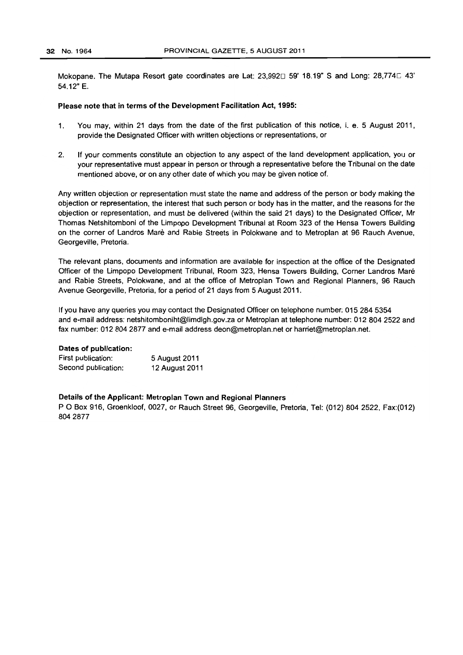Mokopane. The Mutapa Resort gate coordinates are Lat: 23,992 $\square$  59' 18.19" S and Long: 28,774 $\square$  43' 54.12" E.

#### Please note that in terms of the Development Facilitation Act, 1995:

- 1. You may, within 21 days from the date of the first publication of this notice, i. e. 5 August 2011, provide the Designated Officer with written objections or representations, or
- 2. If your comments constitute an objection to any aspect of the land development application, you or your representative must appear in person or through a representative before the Tribunal on the date mentioned above, or on any other date of which you may be given notice of.

Any written objection or representation must state the name and address of the person or body making the objection or representation, the interest that such person or body has in the matter, and the reasons for the objection or representation, and must be delivered (within the said 21 days) to the Designated Officer, Mr Thomas Netshitomboni of the Limpopo Development Tribunal at Room 323 of the Hensa Towers Building on the corner of Landros Mare and Rabie Streets in Polokwane and to Metroplan at 96 Rauch Avenue, Georgeville, Pretoria.

The relevant plans, documents and information are available for inspection at the office of the Designated Officer of the Limpopo Development Tribunal, Room 323, Hensa Towers Building, Comer Landros Mare and Rabie Streets, Polokwane, and at the office of Metroplan Town and Regional Planners, 96 Rauch Avenue Georgeville, Pretoria, for a period of 21 days from 5 August 2011.

If you have any queries you may contact the Designated Officer on telephone number: 015 284 5354 and e-mail address: netshitomboniht@limdlgh.gov.za or Metroplan at telephone number: 012 804 2522 and fax number: 012 804 2877 and e-mail address deon@metroplan.net or harriet@metroplan.net.

#### Dates of publication:

| First publication:  | 5 August 2011  |
|---------------------|----------------|
| Second publication: | 12 August 2011 |

#### Details of the Applicant: Metroplan Town and Regional Planners

P O Box 916, Groenkloof, 0027, or Rauch Street 96, Georgeville, Pretoria, Tel: (012) 804 2522, Fax:(012) 8042877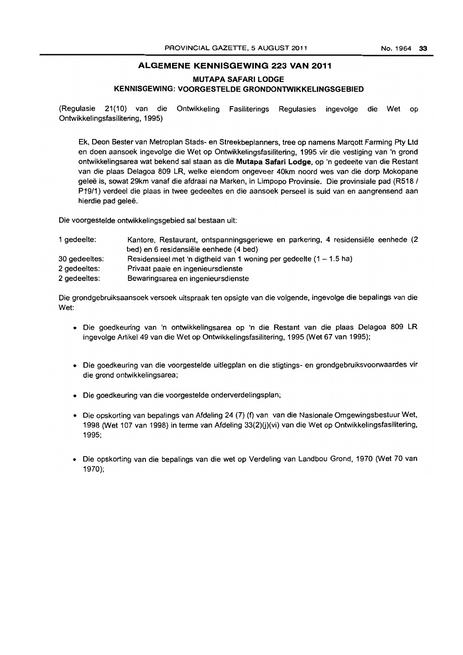### **ALGEMENE KENNISGEWING 223 VAN 2011**

**MUTAPA SAFARI LODGE** 

# **KENNISGEWING: VOORGESTELDE GRONDONTWIKKELINGSGEBIED**

(Regulasie 21(10) van die Ontwikkeling Fasiliterings Regulasies ingevolge die Wet op Ontwikkelingsfasilitering, 1995)

Ek, Deon Bester van Metroplan Stads- en Streekbeplanners, tree op namens Marqott Farming Pty Ltd en doen aansoek ingevolge die Wet op Ontwikkelingsfasilitering, 1995 vir die vestiging van 'n grond ontwikkelingsarea wat bekend sal staan as die **Mutapa Safari** Lodge, op 'n gedeelte van die Restant van die plaas Delagoa 809 LR, welke eiendom ongeveer 40km noord wes van die dorp Mokopane geleë is, sowat 29km vanaf die afdraai na Marken, in Limpopo Provinsie. Die provinsiale pad (R518 / P19/1) verdeel die plaas in twee gedeeltes en die aansoek perseel is suid van en aangrensend aan hierdie pad geleë.

Die voorgestelde ontwikkelingsgebied sal bestaan uit:

| 1 gedeelte:   | Kantore, Restaurant, ontspariningsgeriewe en parkering, 4 residensiële eenhede (2 |
|---------------|-----------------------------------------------------------------------------------|
|               | bed) en 6 residensiële eenhede (4 bed)                                            |
| 30 gedeeltes: | Residensieel met 'n digtheid van 1 woning per gedeelte $(1 - 1.5$ ha)             |
| 2 gedeeltes:  | Privaat paaie en ingenieursdienste                                                |
| 2 gedeeltes:  | Bewanngsarea en ingenieursdienste                                                 |

Die grondgebruiksaansoek versoek uitspraak ten opsigte van die volgende, ingevolge die bepalings van die Wet:

- Die goedkeuring van 'n ontwikkelingsarea op 'n die Restant van die plaas Delagoa 809 LR ingevolge Artikel 49 van die Wet op Ontwikkelingsfasilitering, 1995 (Wet 67 van 1995);
- Die goedkeuring van die voorgestelde uitlegplan en die stigtings- en grondgebruiksvoorwaardes vir die grond ontwikkelingsarea;
- Die goedkeuring van die voorgestelde onderverdelingsplan;
- Die opskorting van bepalings van Afdeling 24 (7) (f) van van die Nasionale Omgewingsbestuur Wet, 1998 (Wet 107 van 1998) in terme van Afdeling 33(2)(j)(vi) van die Wet op Ontwikkelingsfasilitering, 1995;
- Die opskorting van die bepalings van die wet op Verdeling van Landbou Grond, 1970 (Wet 70 van 1970);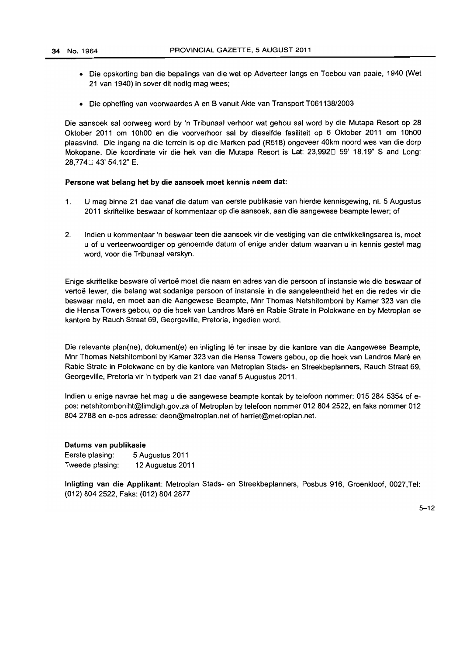- Die opskorting ban die bepalings van die wet op Adverteer langs en Toebou van paaie, 1940 (Wet 21 van 1940) in sover dit nodig mag wees;
- Die opheffing van voorwaardes A en B vanuit Akte van Transport T061138/2003

Die aansoek sal oorweeg word by 'n Tribunaal verhoor wat gehou sal word by die Mutapa Resort op 28 Oktober 2011 om 10hOO en die voorverhoor sal by dieselfde fasiliteit op 6 Oktober 2011 om 10hOO plaasvind. Die ingang na die terrein is op die Marken pad (R518) ongeveer 40km noord wes van die dorp Mokopane. Die koordinate vir die hek van die Mutapa Resort is Lat: 23,992□ 59' 18.19" S and Long: 28.774~ 43' 54.12" E.

#### Persone wat belang het by die aansoek moet kennis neem dat:

- 1. U mag binne 21 dae vanaf die datum van eerste publikasie van hierdie kennisgewing, nl. 5 Augustus 2011 skriftelike beswaar of kommentaar op die aansoek, aan die aangewese beampte lewer; of
- 2. Indien u kommentaar 'n beswaar teen die aansoek vir die vestiging van die ontwikkelingsarea is, moet u of u verteenwoordiger op genoemde datum of enige ander datum waarvan u in kennis gestel mag word, voor die Tribunaal verskyn.

Enige skriftelike besware of vertoe moet die naam en adres van die persoon of instansie wie die beswaar of vertoë lewer, die belang wat sodanige persoon of instansie in die aangeleentheid het en die redes vir die beswaar meld, en moet aan die Aangewese Beampte, Mnr Thomas Netshitomboni by Kamer 323 van die die Hensa Towers gebou, op die hoek van Landros Mare en Rabie Strate in Polokwane en by Metroplan se kantore by Rauch Straat 69, Georgeville, Pretoria, ingedien word.

Die relevante plan(ne), dokument(e) en inligting lê ter insae by die kantore van die Aangewese Beampte, Mnr Thomas Netshitomboni by Kamer 323 van die Hensa Towers gebou, op die hoek van Landros Mare en Rabie Strate in Polokwane en by die kantore van Metroplan Stads- en Streekbeplanners, Rauch Straat 69, Georgeville, Pretoria vir 'n tydperk van 21 dae vanaf 5 Augustus 2011.

Indien u enige navrae het mag u die aangewese beampte kontak by telefoon nommer: 015 284 5354 of epos: netshitomboniht@limdlgh.gov.za of Metroplan by telefoon nommer 012 8042522. en faks nommer 012 8042788 en e-pos adresse: deon@metroplan.net of harriet@metroplan.net.

#### Datums van publikasie

| Eerste plasing: | 5 Augustus 2011  |
|-----------------|------------------|
| Tweede plasing: | 12 Augustus 2011 |

Inligting van die Applikant: Metroplan Stads- en Streekbeplanners, Posbus 916, Groenkloof. 0027,Tel: (012) 804 2522. Faks: (012) 804 2877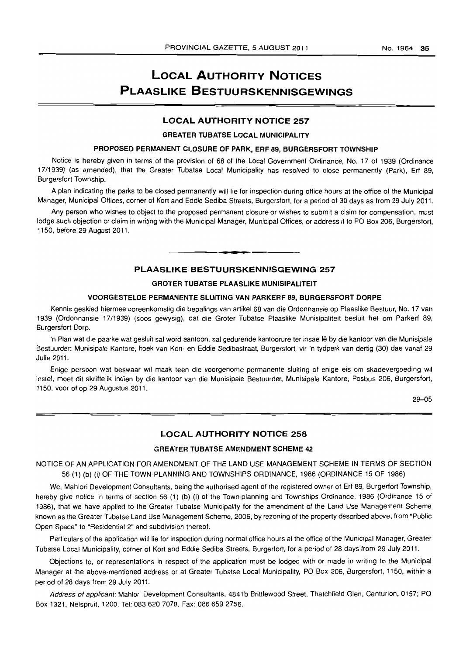# **LOCAL AUTHORITY NOTICES PLAASLIKE BESTUURSKENNISGEWINGS**

#### **LOCAL AUTHORITY NOTICE** 257

#### GREATER TUBATSE LOCAL MUNICIPALITY

# PROPOSED PERMANENT CLOSURE OF PARK, ERF 89, BURGERSFORT TOWNSHIP

Notice is hereby given in terms of the provision of 68 of the Local Government Ordinance, No. 17 of 1939 (Ordinance 1711939) (as amended), that the Greater Tubatse Local Municipality has resolved to close permanently (Park), Erf 89, Burgersfort Township.

A plan indicating the parks to be closed permanently will lie for inspection during office hours at the office of the Municipal Manager, Municipal Offices, corner of Kort and Eddie Sediba Streets, Burgersfort, for a period of 30 days as from 29 July 2011.

Any person who wishes to object to the proposed permanent closure or wishes to submit a claim for compensation, must lodge such objection or claim in writing with the Municipal Manager, Municipal Offices, or address it to PO Box 206, Burgersfort, 1150, before 29 August 2011.

#### **PLAASLIKE BESTUURSKENNISGEWING** 257

**• •** 

#### GROTER TUBATSE PLAASLIKE MUNISIPAlITEIT

#### VOORGESTELDE PERMANENTE SLUITING VAN PARKERF 89, BURGERSFORT DORPE

Kennis geskied hiermee ooreenkomstig die bepalings van artikel 68 van die Ordonnansie op Plaaslike Bestuur, No. 17 van 1939 (Ordonnansie 17/1939) (soos gewysig), dat die Groter Tubatse Plaaslike Munisipaliteit besluit het om Parkerf 89, Burgersfort Dorp.

'n Plan wat die paarke wat gesluit sal word aantoon, sal gedurende kantoorure ter insae lê by die kantoor van die Munisipale Bestuurder: Munisipale Kantore, hoek van Kort- en Eddie Sedibastraat, Burgersfort, vir 'n tydperk van dertig (30) dae vanaf 29 Julie 2011.

Enige persoon wat beswaar wil maak teen die voorgenome permanente sluiting of enige eis om skadevergoeding wi! instel, moet dit skriftelik indien by die kantoor van die Munisipale Bestuurder, Munisipale Kantore, Posbus 206, Burgersfort, 1150, voor of op 29 Augustus 2011.

29-05

#### **LOCAL AUTHORITY NOTICE** 258

#### GREATER TUBATSE AMENDMENT SCHEME 42

NOTICE OF AN APPLICATION FOR AMENDMENT OF THE LAND USE MANAGEMENT SCHEME IN TERMS OF SECTION 56 (1) (b) (i) OF THE TOWN-PLANNING AND TOWNSHIPS ORDINANCE, 1986 (ORDINANCE 15 OF 1986)

We, Mahlori Development Consultants, being the authorised agent of the registered owner of Erf 89, Burgerfort Township, hereby give notice in terms of section 56 (1) (b) (i) of the Town-planning and Townships Ordinance, 1986 (Ordinance 15 of 1986), that we have applied to the Greater Tubatse Municipality for the amendment of the Land Use Management Scheme known as the Greater Tubatse Land Use Management Scheme, 2006, by rezoning of the property described above, from ·Public Open Space" to "Residential 2" and subdivision thereof.

Particulars of the application will lie for inspection during normal office hours at the office of the Municipal Manager, Greater Tubatse Local Municipality, corner of Kort and Eddie Sediba Streets, Burgeriort, for a period of 28 days from 29 July 2011.

Objections to, or representations in respect of the application must be lodged with or made in writing to the Municipal Manager at the above-mentioned address or at Greater Tubatse Local Municipality, PO Box 206, Burgersfort, 1150, within a period of 28 days from 29 July 2011.

Address of applicant: Mahlori Development Consultants, 4841b Brittlewood Street, Thatchfield Glen, Centurion, 0157; PO Box 1321, Nelspruit, 1200. Tel: 083 620 7078. Fax: 086 659 2756.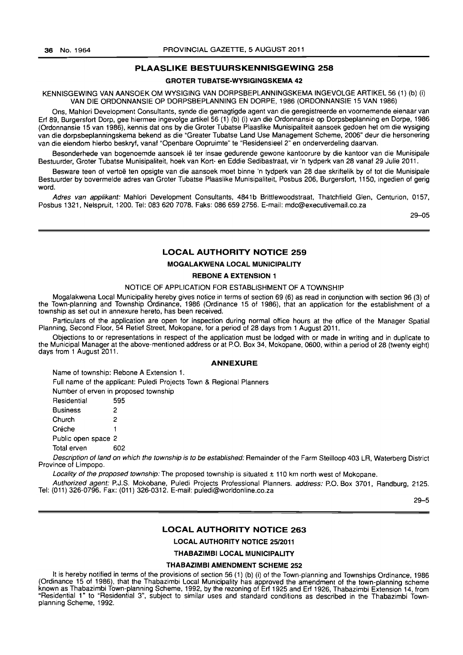#### PLAASLIKE BESTUURSKENNISGEWING 258

#### GROTER TUBATSE-WYSIGINGSKEMA 42

KENNISGEWING VAN AANSOEK OM WYSIGING VAN DORPSBEPLANNINGSKEMA INGEVOLGE ARTIKEL 56 (1) (b) (i) VAN DIE ORDONNANSIE OP DORPSBEPLANNING EN DORPE, 1986 (ORDONNANSIE 15 VAN 1986)

Ons, Mahlori Development Consultants, synde die gemagtigde agent van die geregistreerde en voornemende eienaar van Erf 89, Burgersfort Dorp, gee hiermee ingevolge artikel 56 (1) (b) (i) van die Ordonnansie op Dorpsbeplanning en Dorpe, 1986 (Ordonnansie 15 van 1986), kennis dat ons by die Grater Tubatse Plaaslike Munisipaliteit aansoek gedoen het om die wysiging van die dorpsbeplanningskema bekend as die "Greater Tubatse Land Use Management Scheme, 2006" deur die hersonering van die eiendom hierbo beskryf, vanaf "Openbare Oopruimte" te "Residensieel 2" en onderverdeling daarvan.

Besonderhede van bogenoemde aansoek lê ter insae gedurende gewone kantoorure by die kantoor van die Munisipale Bestuurder, Groter Tubatse Munisipaliteit, hoek van Kort- en Eddie Sedibastraat, vir 'n tydperk van 28 vanaf 29 Julie 2011.

Besware teen of vertoë ten opsigte van die aansoek moet binne 'n tydperk van 28 dae skriftelik by of tot die Munisipale Bestuurder by bovermelde adres van Groter Tubatse Plaaslike Munisipaliteit, Posbus 206, Burgersfort, 1150, ingedien of gerig word.

Adres van applikant: Mahlori Development Consultants, 4841b Brittlewoodstraat, Thatchfield Glen, Centurion, 0157, Posbus 1321, Nelspruit, 1200. Tel: 083 620 7078. Faks: 086659 2756. E-mail: mdc@executivemail.co.za

29-05

#### LOCAL AUTHORITY NOTICE 259

#### MOGALAKWENA LOCAL MUNICIPALITY

#### REBONE A EXTENSION 1

#### NOTICE OF APPLICATION FOR ESTABLISHMENT OF A TOWNSHIP

Mogalakwena Local Municipality hereby gives notice in terms of section 69 (6) as read in conjunction with section 96 (3) of the Town-planning and Township Ordinance, 1986 (Ordinance 15 of 1986), that an application for the establishment of a township as set out in annexure hereto, has been received.

Particulars of the application are open for inspection during normal office hours at the office of the Manager Spatial Planning, Second Floor, 54 Retief Street, Mokopane, for a period of 28 days from 1 August 2011.

Objections to or representations in respect of the application must be lodged with or made in writing and in duplicate to the Municipal Manager at the above-mentioned address or at P.O. Box 34, Mokopane, 0600, within a period of 28 (twenty eight) days from 1 August 2011.

#### ANNEXURE

Name of township: Rebone A Extension 1.

Full name of the applicant: Puledi Projects Town & Regional Planners

Number of erven in proposed township

| Residential         | 595 |
|---------------------|-----|
| <b>Business</b>     | 2   |
| Church              | 2   |
| Créche              | 1   |
| Public open space 2 |     |
| Total erven         | 602 |

Description of land on which the township is to be established: Remainder of the Farm Steilloop 403 LR, Waterberg District Province of Limpopo.

Locality of the proposed township: The proposed township is situated  $\pm$  110 km north west of Mokopane.

Authorized agent: P.J.S. Mokobane, Puledi Projects Professional Planners. address: P.O. Box 3701, Randburg, 2125. Tel: (011) 326-0796. Fax: (011) 326-0312. E-mail: puledi@worldonline.co.za

29-5

#### LOCAL AUTHORITY NOTICE 263

LOCAL AUTHORITY NOTICE 25/2011

THABAZIMBI LOCAL MUNICIPALITY

#### THABAZIMBI AMENDMENT SCHEME 252

It is hereby notified in terms of the provisions of section 56 (1) (b) (i) of the Town-planning and Townships Ordinance, 1986 (Ordinance 15 of 1986), that the Thabazimbi Local Municipality has approved the amendment of the town-planning scheme known as Thabazimbi Town-planning Scheme, 1992, by the rezoning of Erf 1925 and Erf 1926, Thabazimbi Extension 14, from "Residential 1" to "Residential 3", subject to similar uses and standard conditions as described in the Thabazimbi Townplanning Scheme, 1992.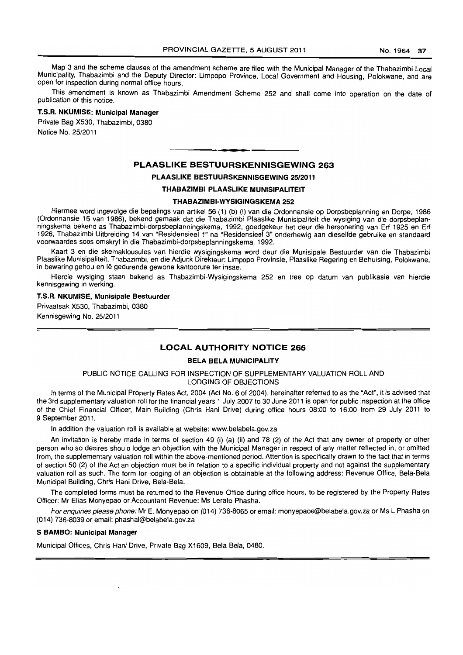Map 3 and the scheme clauses of the amendment scheme are filed with the Municipal Manager of the Thabazimbi Local Municipality, Thabazimbi and the Deputy Director: Limpopo Province, Local Government and Housing, Polokwane, and are open for inspection during normal office hours.

This amendment is known as Thabazimbi Amendment Scheme 252 and shall come into operation on the date of publication of this notice.

# T.S.R. NKUMISE: Municipal Manager

Private Bag X530, Thabazimbi, 0380 Notice No. 25/2011

#### PLAASLIKE BESTUURSKENNISGEWING 263

. **-.** 

# PLAASLIKE BESTUURSKENNISGEWING 25/2011

#### THABAZIMBI PLAASLIKE MUNISIPALITEIT

#### THABAZIMBI-WYSIGINGSKEMA 252

Hiermee word ingevolge die bepalings van artikel 56 (1) (b) (i) van die Ordonnansie op Dorpsbeplanning en Dorpe, 1986 (Ordonnansie 15 van 1986), bekend gemaak dat die Thabazimbi Plaaslike Munisipaliteit die wysiging van die dorpsbeplanningskema bekend as Thabazimbi-dorpsbeplanningskema, 1992, goedgekeur het deur die hersonering van Erf 1925 en Erf 1926, Thabazimbi Uitbreiding 14 van "Residensieel 1" na "Residensieel 3" onderhewig aan dieselfde gebruike en standaard voorwaardes soos omskryf in die Thabazimbi-dorpsbeplanningskema, 1992.

Kaart 3 en die skemaklousules van hierdie wysigingskema word deur die Munisipale Bestuurder van die Thabazimbi Plaaslike Munisipaliteit, Thabazimbi, en die Adjunk Direkteur: Limpopo Provinsie, Plaaslike Regering en Behuising, Polokwane, in bewaring gehou en Iê gedurende gewone kantoorure ter insae.

Hierdie wysiging staan bekend as Thabazimbi-Wysigingskema 252 en tree op datum van publikasie van hierdie kennisgewing in werking.

#### T.S.R. NKUMISE, Munisipale Bestuurder

Privaatsak X530. Thabazimbi, 0380 Kennisgewing No. 25/2011

#### LOCAL AUTHORITY NOTICE 266

#### BELA BELA MUNICIPALITY

#### PUBLIC NOTICE CALLING FOR INSPECTION OF SUPPLEMENTARY VALUATION ROLL AND LODGING OF OBJECTIONS

In terms of the Municipal Property Rates Act. 2004 (Act No.6 of 2004), hereinafter referred to as the "Act", it is advised that the 3rd supplementary valuation roll for the financial years 1 July 2007 to 30 June 2011 is open for public inspection at the office of the Chief Financial Officer, Main Building (Chris Hani Drive) during office hours 08:00 to 16:00 from 29 July 2011 to 9 September 2011.

In addition the valuation roll is available at website: www.belabela.gov.za

An invitation is hereby made in terms of section 49 (i) (a) (ii) and 78 (2) of the Act that any owner of property or other person who so desires should lodge an objection with the Municipal Manager in respect of any matter reflected in, or omitted from, the supplementary valuation roll within the above-mentioned period. Attention is specifically drawn to the fact that in terms of section 50 (2) of the Act an objection must be in relation to a specific individual property and not against the supplementary valuation roll as such. The form for lodging of an objection is obtainable at the following address: Revenue Office, Bela-Bela Municipal Building, Chris Hani Drive, Bela-Bela.

The completed forms must be returned to the Revenue Office during office hours, to be registered by the Property Rates Officer: Mr Elias Monyepao or Accountant Revenue: Ms Lerato Phasha.

For enquiries please phone: Mr E. Monyepao on (014) 736-8065 or email: monyepaoe@belabela.gov.za or Ms l Phasha on (014) 736-8039 or email: phashal@belabela.gov.za

#### S BAMBO: Municipal Manager

Municipal Offices, Chris Hani Drive, Private Bag X1609, Bela Bela, 0480.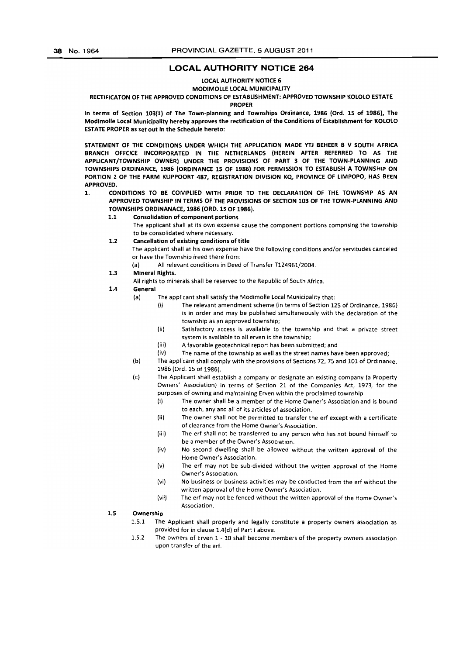#### **LOCAL AUTHORITY NOTICE 264**

#### LOCAL AUTHORITY NOTICE 6

#### MODIMOLLE LOCAL MUNICIPALITY

#### RECTIFICATON OF THE APPROVED CONDITIONS OF ESTABLISHMENT: APPROVED TOWNSHIP KOlOLO ESTATE

PROPER

In terms of Section 103(1) of The Town-planning and Townships Ordinance, 1986 (Ord. 15 of 1986), The Modimolle local Municipality hereby approves the rectification of the Conditions of Establishment for KOlOlO ESTATE PROPER as set out in the Schedule hereto:

STATEMENT OF THE CONDITIONS UNDER WHICH THE APPLICATION MADE YTJ BEHEER B V SOUTH AFRICA BRANCH OFFCICE INCORPORATED IN THE NETHERLANDS (HEREIN AFTER REFERRED TO AS THE APPLICANT/TOWNSHIP OWNER) UNDER THE PROVISIONS OF PART 3 OF THE TOWN·PLANNING AND TOWNSHIPS ORDINANCE, 1986 (ORDINANCE 15 OF 1986) FOR PERMISSION TO ESTABLISH A TOWNSHIP ON PORTION Z OF THE FARM KLiPPOORT 487, REGISTRATION DIVISION KQ, PROVINCE OF LIMPOPO, HAS BEEN APPROVED.

- 1. CONDITIONS TO BE COMPLIED WITH PRIOR TO THE DECLARATION OF THE TOWNSHIP AS AN APPROVED TOWNSHIP IN TERMS OF THE PROVISIONS OF SECTION 103 OF THE TOWN-PLANNING AND TOWNSHIPS ORDINANACE, 1986 (ORD. 15 OF 1986).
	- 1.1 Consolidation of component portions
		- The applicant shall at its own expense cause the component portions comprising the township to be consolidated where necessary.
	- 1.2 Cancellation of existing conditions of title
		- The applicant shall at his own expense have the following conditions and/or servitudes canceled or have the Township freed there from:
			- (a) All relevant conditions in Deed of Transfer T124961/2004.
	- 1.3 Mineral Rights.
		- All rights to minerals shall be reserved to the Republic of South Africa.
	- 1.4 General
		- (a) The applicant shall satisfy the Modimolle Local Municipality that:
			- (i) The relevant amendment scheme (in terms of Section 125 of Ordinance, 1986) is in order and may be published simultaneously with the declaration of the township as an approved township;
			- (ii) Satisfactory access is available to the township and that a private street system is available to all erven in the township;
			- (iii) A favorable geotechnical report has been submitted; and
			- liv) The name of the township as well as the street names have been approved;
		- (b) The applicant shall comply with the provisions of Sections 72, 75 and 101 of Ordinance, 1986 (Ord. 15 of 1986).
		- (c) The Applicant shall establish a company or designate an existing company (a Property Owners' Association) in terms of Section 21 of the Companies Act, 1973, for the purposes of owning *and* maintaining Erven within the proclaimed township.
			- (I) The owner shall be a member of the Home Owner's Association and is bound to each, any and all of its articles of association.
			- (ii) The owner shall not be permitted to transfer the erf except with a certificate of clearance from the Home Owner's Association.
			- (iii) The erf shall not be transferred to any person who has not bound himself to be a member of the Owner's Association.
			- (iv) No second dwelling shall be allowed without the written approval of the Home Owner's Association.
			- (v) The erf may not be sub-divided without the written approval of the Home Owner's Association.
			- (vi) No business or business activities may be conducted from the erf without the written approval of the Home Owner's Association.
			- (vii) The erf may not be fenced without the written approval of the Home Owner's Association.

#### 1.S Ownership

- 1.5.1 The Applicant shall properly and legally constitute a property owners association as provided for in clause 1.4(d) of Part I above.
- 1.5.2 The owners of Erven 1 10 shall become members of the property owners association upon transfer of the erf.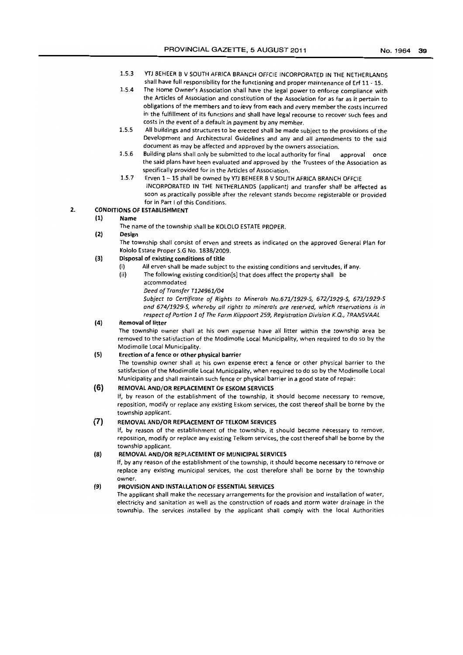- 1.5.3 YTJ BEHEER B V SOUTH AFRICA BRANCH OFFetE INCORPORATED IN THE NETHERLANDS shall have full responsibility for the functioning and proper maintenance of Erf 11 - 15.
- 1.5.4 The Home Owner's Association shall have the legal power to enforce compliance with the Articles of Association and constitution of the Association for as far as it pertain to obligations of the members and to levy from each and every member the costs incurred in the fulfillment of its functions and shall have legal recourse to recover such fees and costs in the event of a default in payment by any member.
- 1.5.5 All buildings and structures to be erected shall be made subject to the provisions of the Development and Architectural Guidelines and any and all amendments to the said document as may be affected and approved by the owners association.
- 1.5.6 Building plans shall only be submitted to the local authority for final approval once the said plans have been evaluated and approved by the Trustees of the Association as specifically provided for in the Articles of Association.
- 1.5.7 Erven 1- 15 shall be owned by YTJ BEHEER B V SOUTH AFRICA BRANCH OFFCIE INCORPORATED IN THE NETHERLANDS (applicant) and transfer shall be affected as soon as practically possible after the relevant stands become registerable or provided for in Part I of this Conditions.

# 2. CONDITIONS OF ESTABLISHMENT

#### (1) Name

The name of the township shall be KOLOLO ESTATE PROPER.

#### (2) Design

The township shall consist of erven and streets as indicated on the approved General Plan for Kololo Estate Proper S.G No. 1838/2009.

#### (3) Disposal of existing conditions of title

- (i) All erven shall be made subject to the existing conditions and servitudes, if any.
- (ii) The following existing condition[sl that does affect the property shall be accommodated
	- *Deed of Transfer T124961/04*

*Subject to Certificate of Rights to Minerals No.671/1929-5,* 672/1929-5, 673/1929-5 *and* 674/1929-5, *whereby all rights* to *minerals are reserved, which reservations is in respect of Portion* 1 *of The Farm Klippoart* 259, *Registration Division K.Q., TRANSVAAL* 

#### (4) Removal of litter

The township owner shall at his own expense have all litter within the township area be removed to the satisfaction of the Modimolle Local Municipality, when required to do so by the Modimolle Local Municipality.

#### (5) Erection of a fence or other physical barrier

The township owner shall at his own expense erect a fence or other physical barrier to the satisfaction of the Modimolle Local Municipality, when required to do so by the Modimolle Local Municipality and shall maintain such fence or physical barrier in a good state of repair:

#### **(6)** REMOVAL AND/OR REPLACEMENT OF ESKOM SERVICES

If, by reason of the establishment of the township, it should become necessary to remove, reposition, modify or replace any existing Eskom services, the cost thereof shall be borne by the township applicant.

# (7) REMOVAL AND/OR REPLACEMENT OF TELKOM SERVICES

If, by reason of the establishment of the township, it should become necessary to remove, reposition, modify or replace any existing Telkom services, the cost thereof shall be borne by the township applicant.

#### (8) REMOVAL AND/OR REPLACEMENT OF MUNICIPAL SERVICES

If, by any reason of the establishment of the township, it should become necessary to remove or replace any existing municipal services, the cost therefore shall be borne by the township owner.

#### (9) PROVISION AND INSTALLATION OF ESSENTIAL SERVICES

The applicant shall make the necessary arrangements for the provision and installation of water, electricity and sanitation as well as the construction of roads and storm water drainage in the township. The services installed by the applicant shall comply with the local Authorities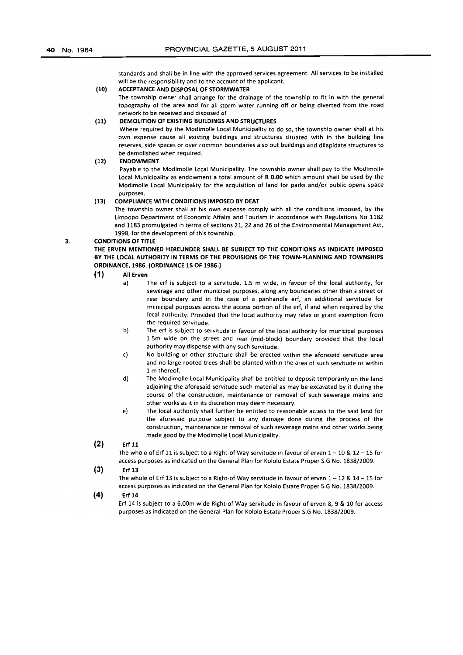standards and shall be in line with the approved services agreement. All services to be installed will be the responsibility and to the account of the applicant.

#### (10) ACCEPTANCE AND DISPOSAL OF STORMWATER

The township owner shall arrange for the drainage of the township to fit in with the general topography of the area and for all storm water running off or being diverted from the road network to be received and disposed of.

#### (11) DEMOLITION OF EXISTING BUILDINGS AND STRUCTURES

Where required by the Modimolle local Municipality to do so, the township owner shall at his own expense cause all existing buildings and structures situated with in the building line reserves, side spaces or over common boundaries also out buildings and dilapidate structures to be demolished when required.

#### (12) ENDOWMENT

Payable to the Modimolle local Municipality. The township owner shall pay to the Modimolle local Municipality as endowment a total amount of R 0.00 which amount shall be used by the Modimolie local Municipality for the acquisition of land for parks and/or public opens space purposes.

#### (13) COMPLIANCE WITH CONDITIONS IMPOSED BY DEAT

The township owner shall at his own expense comply with ali the conditions imposed, by the limpopo Department of Economic Affairs and Tourism in accordance with Regulations No 1182 and 1183 promulgated in terms of sections 21, 22 and 26 of the Environmental Management Act, 1998, for the development of this township.

#### 3. CONDITIONS OF TITLE

THE ERVEN MENTIONED HEREUNDER SHALL BE SUBJECT TO THE CONDITIONS AS INDICATE IMPOSED BY THE LOCAL AUTHORITY IN TERMS OF THE PROVISIONS OF THE TOWN-PLANNING AND TOWNSHIPS ORDINANCE, 1986. (ORDINANCE 1S OF 1986.)

#### (1) All Erven

- al The erf is subject to a servitude, 1.5 m wide, in favour of the local authority, for sewerage and other municipal purposes, along any boundaries other than a street or rear boundary and in the case of a panhandle erf, an additional servitude for municipal purposes across the access portion of the erf, if and when required by the local authority: Provided that the local authority may relax or grant exemption from the required servitude.
- b) The erf is subject to servitude in favour of the local authority for municipal purposes 1.5m wide on the street and rear (mid-block) boundary provided that the local authority may dispense with any such servitude.
- c) No building or other structure shall be erected within the aforesaid servitude area and no large-rooted trees shall be planted within the area of such servitude or within 1 m thereof.
- d) The Modimolle local Municipality shall be entitled to deposit temporarily on the land adjoining the aforesaid servitude such material as may be excavated by it during the course of the construction, maintenance or removal of such sewerage mains and other works as it in its discretion may deem necessary.
- e) The local authority shall further be entitled to reasonable access to the said land for the aforesaid purpose subject to any damage done during the process of the construction, maintenance or removal of such sewerage mains and other works being made good by the Modimolie local Municipality.

 $(2)$  Erf 11

The whole of Erf 11 is subject to a Right-of Way servitude in favour of erven  $1-10$  &  $12-15$  for access purposes as indicated on the General Plan for Kololo Estate Proper S.G No. 1838/2009.

#### (3) Erf 13

The whole of Erf 13 is subject to a Right-of Way servitude in favour of erven  $1-12$  &  $14-15$  for access purposes as indicated on the General Plan for Kololo Estate Proper S.G No. 1838/2009.

#### (4) Erf 14

Erf 14 is subject to a 6,OOm wide Right-of Way servitude in favour of erven 8, 9 & 10 for access purposes as indicated on the General Plan for Kololo Estate Proper S.G No. 1838/2009.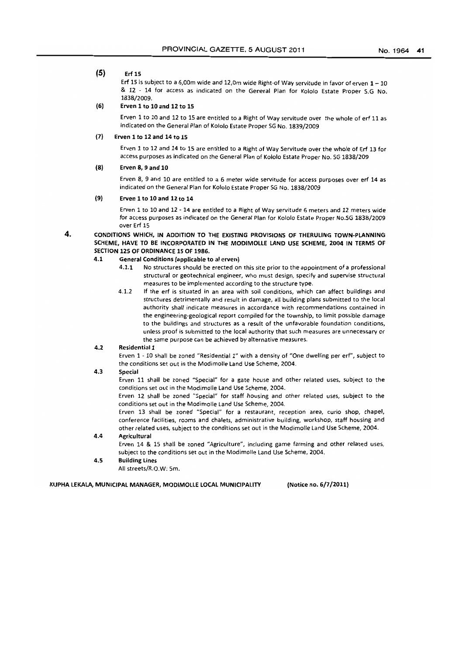# (5) Erf15

Erf 15 is subject to a 6,00m wide and 12,0m wide Right-of Way servitude in favor of erven  $1-10$ & 12 - 14 for access as indicated on the General Plan for Kololo Estate Proper S.G No. 1838/2009.

#### (6) Erven 1 to 10 and 12 to 15

Erven 1 to 10 and 12 to 15 are entitled to a Right of Way servitude over the whole of erf 11 as indicated on the General Plan of Kololo Estate Proper 5G No. 1839/2009

#### (7) Erven 1 to 12 and 14 to 15

Erven 1 to 12 and 14 to 15 are entitled to a Right of Way Servitude over the whole of Erf 13 for access purposes as indicated on the General Plan of Kololo Estate Proper No. SG 1838/209

#### (8) Erven 8, 9 and 10

Erven 8, 9 and 10 are entitled to a 6 meter wide servitude for access purposes over erf 14 as indicated on the General Plan for Kololo Estate Proper SG No. 1838/2009

#### (9) Erven 1 to 10 and 12 to 14

Erven 1 to 10 and 12 - 14 are entitled to a Right of Way servitude 6 meters and 12 meters wide for access purposes as indicated on the General Plan for Kololo Estate Proper No.SG 1838/2009 over Erf 15

#### 4. CONDITIONS WHICH, IN ADDITION TO THE EXISTING PROVISIONS OF THERULING TOWN-PLANNING SCHEME, HAVE TO BE INCORPORATED IN THE MODIMOLLE LAND USE SCHEME, *2004* IN TERMS OF SECTION 12S OF ORDINANCE 15 OF 1986.

#### 4.1 General Conditions (applicable to al erven)

- 4.1.1 No structures should be erected on this site prior to the appointment of a professional structural or geotechnical engineer, who must design, specify and supervise structural measures to be implemented according to the structure type.
- 4.1.2 If the erf is situated in an area with soil conditions, which can affect buildings and structures detrimentally and result in damage, all building plans submitted to the local authority shall indicate measures in accordance with recommendations contained in the engineering-geological report compiled for the township, to limit possible damage to the buildings and structures as a result of the unfavorable foundation conditions, unless proof is submitted to the local authority that such measures are unnecessary or the same purpose can be achieved by alternative measures.

#### 4.2 Residential 1

Erven 1 - 10 shall be zoned "Residential 1" with a density of "One dwelling per *eri",* subject to the conditions set out in the Modimolle Land Use Scheme, 2004.

#### 4.3 Special

Erven 11 shall be zoned "Special" for a gate house and other related uses, subject to the conditions set out in the Modimolle land Use Scheme, 2004.

Erven 12 shall be zoned "Special" for staff housing and other related uses, subject to the conditions set out in the Modimolie Land Use Scheme, 2004.

Erven 13 shall be zoned "Special" for a restaurant, reception area, curio shop, chapel, conference facilities, rooms and chalets, administrative building, workshop, staff housing and other related uses, subject to the conditions set out in the Modimolle land Use Scheme, 2004.

#### 4.4 Agricultural

Erven 14 & 15 shall be zoned "Agriculture", including game farming and other related uses, subject to the conditions set out in the Modimolle land Use Scheme, 2004.

4.5 Building Lines

All streets/R.O.W: Sm.

KUPHA LEKALA, MUNICIPAL MANAGER, MODIMOLLE LOCAL MUNICIPALITY (Notice no. 6/7/2011)